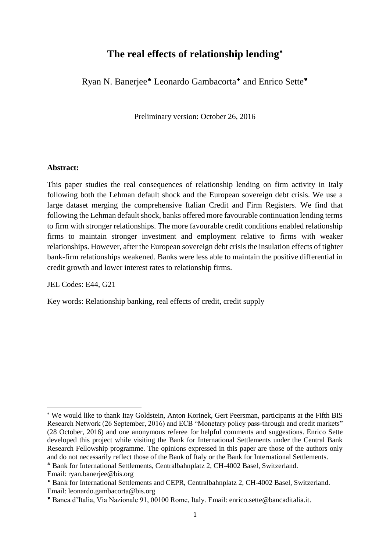# **The real effects of relationship lending**

Ryan N. Banerjee<sup>\*</sup> Leonardo Gambacorta<sup>\*</sup> and Enrico Sette<sup>\*</sup>

Preliminary version: October 26, 2016

#### **Abstract:**

This paper studies the real consequences of relationship lending on firm activity in Italy following both the Lehman default shock and the European sovereign debt crisis. We use a large dataset merging the comprehensive Italian Credit and Firm Registers. We find that following the Lehman default shock, banks offered more favourable continuation lending terms to firm with stronger relationships. The more favourable credit conditions enabled relationship firms to maintain stronger investment and employment relative to firms with weaker relationships. However, after the European sovereign debt crisis the insulation effects of tighter bank-firm relationships weakened. Banks were less able to maintain the positive differential in credit growth and lower interest rates to relationship firms.

JEL Codes: E44, G21

Key words: Relationship banking, real effects of credit, credit supply

1

We would like to thank Itay Goldstein, Anton Korinek, Gert Peersman, participants at the Fifth BIS Research Network (26 September, 2016) and ECB "Monetary policy pass-through and credit markets" (28 October, 2016) and one anonymous referee for helpful comments and suggestions. Enrico Sette developed this project while visiting the Bank for International Settlements under the Central Bank Research Fellowship programme. The opinions expressed in this paper are those of the authors only and do not necessarily reflect those of the Bank of Italy or the Bank for International Settlements.

Bank for International Settlements, Centralbahnplatz 2, CH-4002 Basel, Switzerland.

Email: ryan.banerjee@bis.org

Bank for International Settlements and CEPR, Centralbahnplatz 2, CH-4002 Basel, Switzerland. Email: leonardo.gambacorta@bis.org

Banca d'Italia, Via Nazionale 91, 00100 Rome, Italy. Email: enrico.sette@bancaditalia.it.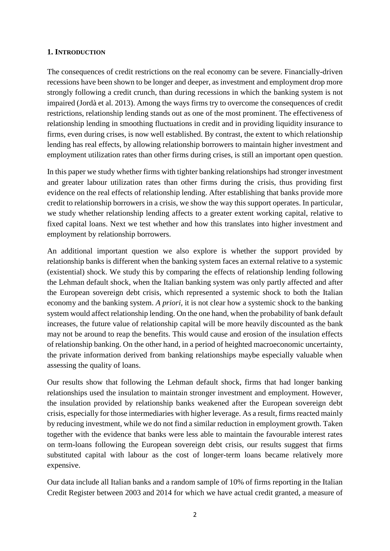### **1. INTRODUCTION**

The consequences of credit restrictions on the real economy can be severe. Financially-driven recessions have been shown to be longer and deeper, as investment and employment drop more strongly following a credit crunch, than during recessions in which the banking system is not impaired (Jordà et al. 2013). Among the ways firms try to overcome the consequences of credit restrictions, relationship lending stands out as one of the most prominent. The effectiveness of relationship lending in smoothing fluctuations in credit and in providing liquidity insurance to firms, even during crises, is now well established. By contrast, the extent to which relationship lending has real effects, by allowing relationship borrowers to maintain higher investment and employment utilization rates than other firms during crises, is still an important open question.

In this paper we study whether firms with tighter banking relationships had stronger investment and greater labour utilization rates than other firms during the crisis, thus providing first evidence on the real effects of relationship lending. After establishing that banks provide more credit to relationship borrowers in a crisis, we show the way this support operates. In particular, we study whether relationship lending affects to a greater extent working capital, relative to fixed capital loans. Next we test whether and how this translates into higher investment and employment by relationship borrowers.

An additional important question we also explore is whether the support provided by relationship banks is different when the banking system faces an external relative to a systemic (existential) shock. We study this by comparing the effects of relationship lending following the Lehman default shock, when the Italian banking system was only partly affected and after the European sovereign debt crisis, which represented a systemic shock to both the Italian economy and the banking system. *A priori,* it is not clear how a systemic shock to the banking system would affect relationship lending. On the one hand, when the probability of bank default increases, the future value of relationship capital will be more heavily discounted as the bank may not be around to reap the benefits. This would cause and erosion of the insulation effects of relationship banking. On the other hand, in a period of heighted macroeconomic uncertainty, the private information derived from banking relationships maybe especially valuable when assessing the quality of loans.

Our results show that following the Lehman default shock, firms that had longer banking relationships used the insulation to maintain stronger investment and employment. However, the insulation provided by relationship banks weakened after the European sovereign debt crisis, especially for those intermediaries with higher leverage. As a result, firms reacted mainly by reducing investment, while we do not find a similar reduction in employment growth. Taken together with the evidence that banks were less able to maintain the favourable interest rates on term-loans following the European sovereign debt crisis, our results suggest that firms substituted capital with labour as the cost of longer-term loans became relatively more expensive.

Our data include all Italian banks and a random sample of 10% of firms reporting in the Italian Credit Register between 2003 and 2014 for which we have actual credit granted, a measure of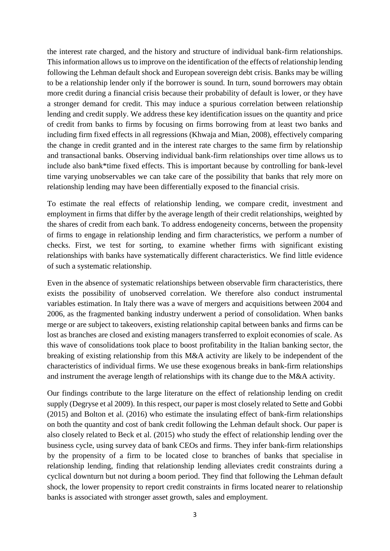the interest rate charged, and the history and structure of individual bank-firm relationships. This information allows us to improve on the identification of the effects of relationship lending following the Lehman default shock and European sovereign debt crisis. Banks may be willing to be a relationship lender only if the borrower is sound. In turn, sound borrowers may obtain more credit during a financial crisis because their probability of default is lower, or they have a stronger demand for credit. This may induce a spurious correlation between relationship lending and credit supply. We address these key identification issues on the quantity and price of credit from banks to firms by focusing on firms borrowing from at least two banks and including firm fixed effects in all regressions (Khwaja and Mian, 2008), effectively comparing the change in credit granted and in the interest rate charges to the same firm by relationship and transactional banks. Observing individual bank-firm relationships over time allows us to include also bank\*time fixed effects. This is important because by controlling for bank-level time varying unobservables we can take care of the possibility that banks that rely more on relationship lending may have been differentially exposed to the financial crisis.

To estimate the real effects of relationship lending, we compare credit, investment and employment in firms that differ by the average length of their credit relationships, weighted by the shares of credit from each bank. To address endogeneity concerns, between the propensity of firms to engage in relationship lending and firm characteristics, we perform a number of checks. First, we test for sorting, to examine whether firms with significant existing relationships with banks have systematically different characteristics. We find little evidence of such a systematic relationship.

Even in the absence of systematic relationships between observable firm characteristics, there exists the possibility of unobserved correlation. We therefore also conduct instrumental variables estimation. In Italy there was a wave of mergers and acquisitions between 2004 and 2006, as the fragmented banking industry underwent a period of consolidation. When banks merge or are subject to takeovers, existing relationship capital between banks and firms can be lost as branches are closed and existing managers transferred to exploit economies of scale. As this wave of consolidations took place to boost profitability in the Italian banking sector, the breaking of existing relationship from this M&A activity are likely to be independent of the characteristics of individual firms. We use these exogenous breaks in bank-firm relationships and instrument the average length of relationships with its change due to the M&A activity.

Our findings contribute to the large literature on the effect of relationship lending on credit supply (Degryse et al 2009). In this respect, our paper is most closely related to Sette and Gobbi (2015) and Bolton et al. (2016) who estimate the insulating effect of bank-firm relationships on both the quantity and cost of bank credit following the Lehman default shock. Our paper is also closely related to Beck et al. (2015) who study the effect of relationship lending over the business cycle, using survey data of bank CEOs and firms. They infer bank-firm relationships by the propensity of a firm to be located close to branches of banks that specialise in relationship lending, finding that relationship lending alleviates credit constraints during a cyclical downturn but not during a boom period. They find that following the Lehman default shock, the lower propensity to report credit constraints in firms located nearer to relationship banks is associated with stronger asset growth, sales and employment.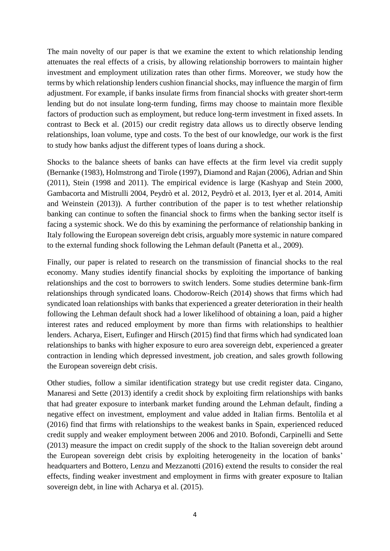The main novelty of our paper is that we examine the extent to which relationship lending attenuates the real effects of a crisis, by allowing relationship borrowers to maintain higher investment and employment utilization rates than other firms. Moreover, we study how the terms by which relationship lenders cushion financial shocks, may influence the margin of firm adjustment. For example, if banks insulate firms from financial shocks with greater short-term lending but do not insulate long-term funding, firms may choose to maintain more flexible factors of production such as employment, but reduce long-term investment in fixed assets. In contrast to Beck et al. (2015) our credit registry data allows us to directly observe lending relationships, loan volume, type and costs. To the best of our knowledge, our work is the first to study how banks adjust the different types of loans during a shock.

Shocks to the balance sheets of banks can have effects at the firm level via credit supply (Bernanke (1983), Holmstrong and Tirole (1997), Diamond and Rajan (2006), Adrian and Shin (2011), Stein (1998 and 2011). The empirical evidence is large (Kashyap and Stein 2000, Gambacorta and Mistrulli 2004, Peydrò et al. 2012, Peydrò et al. 2013, Iyer et al. 2014, Amiti and Weinstein (2013)). A further contribution of the paper is to test whether relationship banking can continue to soften the financial shock to firms when the banking sector itself is facing a systemic shock. We do this by examining the performance of relationship banking in Italy following the European sovereign debt crisis, arguably more systemic in nature compared to the external funding shock following the Lehman default (Panetta et al., 2009).

Finally, our paper is related to research on the transmission of financial shocks to the real economy. Many studies identify financial shocks by exploiting the importance of banking relationships and the cost to borrowers to switch lenders. Some studies determine bank-firm relationships through syndicated loans. Chodorow-Reich (2014) shows that firms which had syndicated loan relationships with banks that experienced a greater deterioration in their health following the Lehman default shock had a lower likelihood of obtaining a loan, paid a higher interest rates and reduced employment by more than firms with relationships to healthier lenders. Acharya, Eisert, Eufinger and Hirsch (2015) find that firms which had syndicated loan relationships to banks with higher exposure to euro area sovereign debt, experienced a greater contraction in lending which depressed investment, job creation, and sales growth following the European sovereign debt crisis.

Other studies, follow a similar identification strategy but use credit register data. Cingano, Manaresi and Sette (2013) identify a credit shock by exploiting firm relationships with banks that had greater exposure to interbank market funding around the Lehman default, finding a negative effect on investment, employment and value added in Italian firms. Bentolila et al (2016) find that firms with relationships to the weakest banks in Spain, experienced reduced credit supply and weaker employment between 2006 and 2010. Bofondi, Carpinelli and Sette (2013) measure the impact on credit supply of the shock to the Italian sovereign debt around the European sovereign debt crisis by exploiting heterogeneity in the location of banks' headquarters and Bottero, Lenzu and Mezzanotti (2016) extend the results to consider the real effects, finding weaker investment and employment in firms with greater exposure to Italian sovereign debt, in line with Acharya et al. (2015).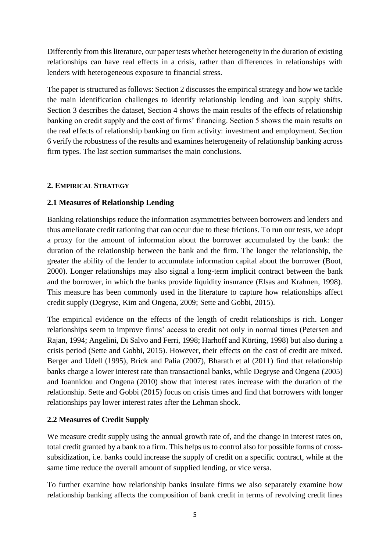Differently from this literature, our paper tests whether heterogeneity in the duration of existing relationships can have real effects in a crisis, rather than differences in relationships with lenders with heterogeneous exposure to financial stress.

The paper is structured as follows: Section 2 discusses the empirical strategy and how we tackle the main identification challenges to identify relationship lending and loan supply shifts. Section 3 describes the dataset, Section 4 shows the main results of the effects of relationship banking on credit supply and the cost of firms' financing. Section 5 shows the main results on the real effects of relationship banking on firm activity: investment and employment. Section 6 verify the robustness of the results and examines heterogeneity of relationship banking across firm types. The last section summarises the main conclusions.

## **2. EMPIRICAL STRATEGY**

## **2.1 Measures of Relationship Lending**

Banking relationships reduce the information asymmetries between borrowers and lenders and thus ameliorate credit rationing that can occur due to these frictions. To run our tests, we adopt a proxy for the amount of information about the borrower accumulated by the bank: the duration of the relationship between the bank and the firm. The longer the relationship, the greater the ability of the lender to accumulate information capital about the borrower (Boot, 2000). Longer relationships may also signal a long-term implicit contract between the bank and the borrower, in which the banks provide liquidity insurance (Elsas and Krahnen, 1998). This measure has been commonly used in the literature to capture how relationships affect credit supply (Degryse, Kim and Ongena, 2009; Sette and Gobbi, 2015).

The empirical evidence on the effects of the length of credit relationships is rich. Longer relationships seem to improve firms' access to credit not only in normal times (Petersen and Rajan, 1994; Angelini, Di Salvo and Ferri, 1998; Harhoff and Körting, 1998) but also during a crisis period (Sette and Gobbi, 2015). However, their effects on the cost of credit are mixed. Berger and Udell (1995), Brick and Palia (2007), Bharath et al (2011) find that relationship banks charge a lower interest rate than transactional banks, while Degryse and Ongena (2005) and Ioannidou and Ongena (2010) show that interest rates increase with the duration of the relationship. Sette and Gobbi (2015) focus on crisis times and find that borrowers with longer relationships pay lower interest rates after the Lehman shock.

## **2.2 Measures of Credit Supply**

We measure credit supply using the annual growth rate of, and the change in interest rates on, total credit granted by a bank to a firm. This helps us to control also for possible forms of crosssubsidization, i.e. banks could increase the supply of credit on a specific contract, while at the same time reduce the overall amount of supplied lending, or vice versa.

To further examine how relationship banks insulate firms we also separately examine how relationship banking affects the composition of bank credit in terms of revolving credit lines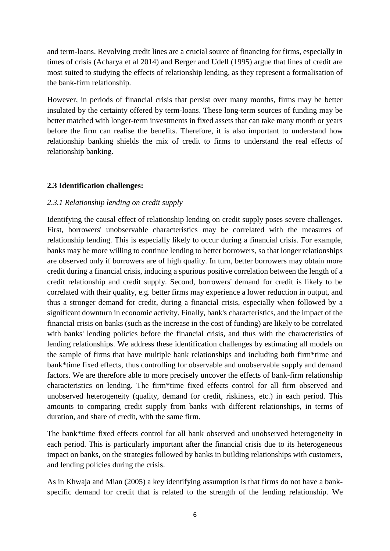and term-loans. Revolving credit lines are a crucial source of financing for firms, especially in times of crisis (Acharya et al 2014) and Berger and Udell (1995) argue that lines of credit are most suited to studying the effects of relationship lending, as they represent a formalisation of the bank-firm relationship.

However, in periods of financial crisis that persist over many months, firms may be better insulated by the certainty offered by term-loans. These long-term sources of funding may be better matched with longer-term investments in fixed assets that can take many month or years before the firm can realise the benefits. Therefore, it is also important to understand how relationship banking shields the mix of credit to firms to understand the real effects of relationship banking.

## **2.3 Identification challenges:**

## *2.3.1 Relationship lending on credit supply*

Identifying the causal effect of relationship lending on credit supply poses severe challenges. First, borrowers' unobservable characteristics may be correlated with the measures of relationship lending. This is especially likely to occur during a financial crisis. For example, banks may be more willing to continue lending to better borrowers, so that longer relationships are observed only if borrowers are of high quality. In turn, better borrowers may obtain more credit during a financial crisis, inducing a spurious positive correlation between the length of a credit relationship and credit supply. Second, borrowers' demand for credit is likely to be correlated with their quality, e.g. better firms may experience a lower reduction in output, and thus a stronger demand for credit, during a financial crisis, especially when followed by a significant downturn in economic activity. Finally, bank's characteristics, and the impact of the financial crisis on banks (such as the increase in the cost of funding) are likely to be correlated with banks' lending policies before the financial crisis, and thus with the characteristics of lending relationships. We address these identification challenges by estimating all models on the sample of firms that have multiple bank relationships and including both firm\*time and bank\*time fixed effects, thus controlling for observable and unobservable supply and demand factors. We are therefore able to more precisely uncover the effects of bank-firm relationship characteristics on lending. The firm\*time fixed effects control for all firm observed and unobserved heterogeneity (quality, demand for credit, riskiness, etc.) in each period. This amounts to comparing credit supply from banks with different relationships, in terms of duration, and share of credit, with the same firm.

The bank\*time fixed effects control for all bank observed and unobserved heterogeneity in each period. This is particularly important after the financial crisis due to its heterogeneous impact on banks, on the strategies followed by banks in building relationships with customers, and lending policies during the crisis.

As in Khwaja and Mian (2005) a key identifying assumption is that firms do not have a bankspecific demand for credit that is related to the strength of the lending relationship. We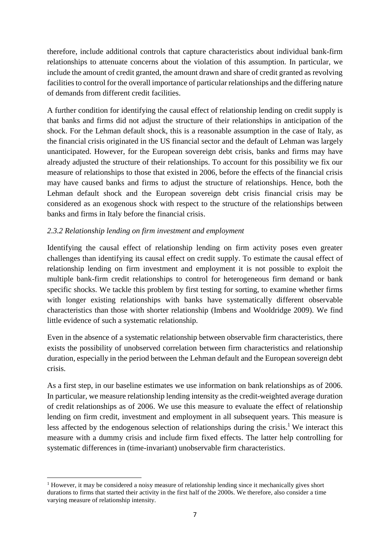therefore, include additional controls that capture characteristics about individual bank-firm relationships to attenuate concerns about the violation of this assumption. In particular, we include the amount of credit granted, the amount drawn and share of credit granted as revolving facilities to control for the overall importance of particular relationships and the differing nature of demands from different credit facilities.

A further condition for identifying the causal effect of relationship lending on credit supply is that banks and firms did not adjust the structure of their relationships in anticipation of the shock. For the Lehman default shock, this is a reasonable assumption in the case of Italy, as the financial crisis originated in the US financial sector and the default of Lehman was largely unanticipated. However, for the European sovereign debt crisis, banks and firms may have already adjusted the structure of their relationships. To account for this possibility we fix our measure of relationships to those that existed in 2006, before the effects of the financial crisis may have caused banks and firms to adjust the structure of relationships. Hence, both the Lehman default shock and the European sovereign debt crisis financial crisis may be considered as an exogenous shock with respect to the structure of the relationships between banks and firms in Italy before the financial crisis.

## *2.3.2 Relationship lending on firm investment and employment*

Identifying the causal effect of relationship lending on firm activity poses even greater challenges than identifying its causal effect on credit supply. To estimate the causal effect of relationship lending on firm investment and employment it is not possible to exploit the multiple bank-firm credit relationships to control for heterogeneous firm demand or bank specific shocks. We tackle this problem by first testing for sorting, to examine whether firms with longer existing relationships with banks have systematically different observable characteristics than those with shorter relationship (Imbens and Wooldridge 2009). We find little evidence of such a systematic relationship.

Even in the absence of a systematic relationship between observable firm characteristics, there exists the possibility of unobserved correlation between firm characteristics and relationship duration, especially in the period between the Lehman default and the European sovereign debt crisis.

As a first step, in our baseline estimates we use information on bank relationships as of 2006. In particular, we measure relationship lending intensity as the credit-weighted average duration of credit relationships as of 2006. We use this measure to evaluate the effect of relationship lending on firm credit, investment and employment in all subsequent years. This measure is less affected by the endogenous selection of relationships during the crisis.<sup>1</sup> We interact this measure with a dummy crisis and include firm fixed effects. The latter help controlling for systematic differences in (time-invariant) unobservable firm characteristics.

<sup>1</sup> <sup>1</sup> However, it may be considered a noisy measure of relationship lending since it mechanically gives short durations to firms that started their activity in the first half of the 2000s. We therefore, also consider a time varying measure of relationship intensity.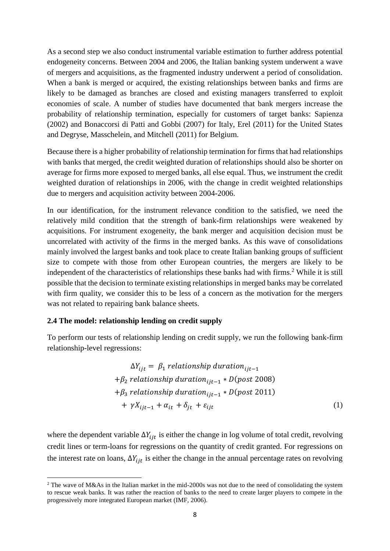As a second step we also conduct instrumental variable estimation to further address potential endogeneity concerns. Between 2004 and 2006, the Italian banking system underwent a wave of mergers and acquisitions, as the fragmented industry underwent a period of consolidation. When a bank is merged or acquired, the existing relationships between banks and firms are likely to be damaged as branches are closed and existing managers transferred to exploit economies of scale. A number of studies have documented that bank mergers increase the probability of relationship termination, especially for customers of target banks: Sapienza (2002) and Bonaccorsi di Patti and Gobbi (2007) for Italy, Erel (2011) for the United States and Degryse, Masschelein, and Mitchell (2011) for Belgium.

Because there is a higher probability of relationship termination for firms that had relationships with banks that merged, the credit weighted duration of relationships should also be shorter on average for firms more exposed to merged banks, all else equal. Thus, we instrument the credit weighted duration of relationships in 2006, with the change in credit weighted relationships due to mergers and acquisition activity between 2004-2006.

In our identification, for the instrument relevance condition to the satisfied, we need the relatively mild condition that the strength of bank-firm relationships were weakened by acquisitions. For instrument exogeneity, the bank merger and acquisition decision must be uncorrelated with activity of the firms in the merged banks. As this wave of consolidations mainly involved the largest banks and took place to create Italian banking groups of sufficient size to compete with those from other European countries, the mergers are likely to be independent of the characteristics of relationships these banks had with firms.<sup>2</sup> While it is still possible that the decision to terminate existing relationships in merged banks may be correlated with firm quality, we consider this to be less of a concern as the motivation for the mergers was not related to repairing bank balance sheets.

### **2.4 The model: relationship lending on credit supply**

1

To perform our tests of relationship lending on credit supply, we run the following bank-firm relationship-level regressions:

$$
\Delta Y_{ijt} = \beta_1 \, relationship \, duration_{ijt-1}
$$
\n
$$
+\beta_2 \, relationship \, duration_{ijt-1} * D(post \, 2008)
$$
\n
$$
+\beta_3 \, relationship \, duration_{ijt-1} * D(post \, 2011)
$$
\n
$$
+\gamma X_{ijt-1} + \alpha_{it} + \delta_{jt} + \varepsilon_{ijt}
$$
\n(1)

where the dependent variable  $\Delta Y_{ijt}$  is either the change in log volume of total credit, revolving credit lines or term-loans for regressions on the quantity of credit granted. For regressions on the interest rate on loans,  $\Delta Y_{i}$  is either the change in the annual percentage rates on revolving

<sup>&</sup>lt;sup>2</sup> The wave of M&As in the Italian market in the mid-2000s was not due to the need of consolidating the system to rescue weak banks. It was rather the reaction of banks to the need to create larger players to compete in the progressively more integrated European market (IMF, 2006).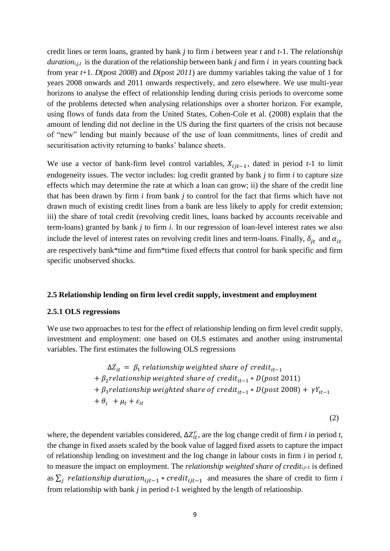credit lines or term loans, granted by bank *j* to firm *i* between year *t* and *t-*1. The *relationship durationi,j,t* is the duration of the relationship between bank *j* and firm *i* in years counting back from year *t*+1. *D*(post *2008*) and *D*(post *2011*) are dummy variables taking the value of 1 for years 2008 onwards and 2011 onwards respectively, and zero elsewhere. We use multi-year horizons to analyse the effect of relationship lending during crisis periods to overcome some of the problems detected when analysing relationships over a shorter horizon. For example, using flows of funds data from the United States, Cohen-Cole et al. (2008) explain that the amount of lending did not decline in the US during the first quarters of the crisis not because of "new" lending but mainly because of the use of loan commitments, lines of credit and securitisation activity returning to banks' balance sheets.

We use a vector of bank-firm level control variables,  $X_{ijt-1}$ , dated in period *t*-1 to limit endogeneity issues. The vector includes: log credit granted by bank *j* to firm *i* to capture size effects which may determine the rate at which a loan can grow; ii) the share of the credit line that has been drawn by firm *i* from bank *j* to control for the fact that firms which have not drawn much of existing credit lines from a bank are less likely to apply for credit extension; iii) the share of total credit (revolving credit lines, loans backed by accounts receivable and term-loans) granted by bank *j* to firm *i*. In our regression of loan-level interest rates we also include the level of interest rates on revolving credit lines and term-loans. Finally,  $\delta_{it}$  and  $\alpha_{it}$ are respectively bank\*time and firm\*time fixed effects that control for bank specific and firm specific unobserved shocks.

#### **2.5 Relationship lending on firm level credit supply, investment and employment**

#### **2.5.1 OLS regressions**

We use two approaches to test for the effect of relationship lending on firm level credit supply, investment and employment: one based on OLS estimates and another using instrumental variables. The first estimates the following OLS regressions

$$
\Delta Z_{it} = \beta_1 \, relationship \, weighted \, share \, of \, credit_{it-1}
$$
\n
$$
+ \beta_2 \, relationship \, weighted \, share \, of \, credit_{it-1} * D (post \, 2011)
$$
\n
$$
+ \beta_3 \, relationship \, weighted \, share \, of \, credit_{it-1} * D (post \, 2008) + \gamma Y_{it-1}
$$
\n
$$
+ \theta_i \, + \mu_t + \varepsilon_{it}
$$

(2)

where, the dependent variables considered,  $\Delta Z_{it}^r$ , are the log change credit of firm *i* in period *t*, the change in fixed assets scaled by the book value of lagged fixed assets to capture the impact of relationship lending on investment and the log change in labour costs in firm *i* in period *t*, to measure the impact on employment. The *relationship weighted share of crediti,t-*<sup>1</sup> is defined as  $\sum_j$  relationship duration<sub>ijt-1</sub> \* credit<sub>ijt-1</sub> and measures the share of credit to firm *i* from relationship with bank *j* in period *t*-1 weighted by the length of relationship.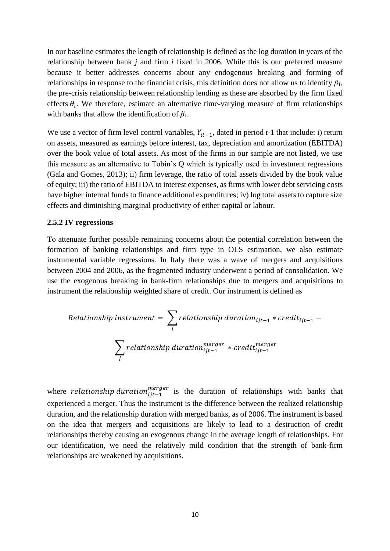In our baseline estimates the length of relationship is defined as the log duration in years of the relationship between bank *j* and firm *i* fixed in 2006. While this is our preferred measure because it better addresses concerns about any endogenous breaking and forming of relationships in response to the financial crisis, this definition does not allow us to identify  $\beta_1$ , the pre-crisis relationship between relationship lending as these are absorbed by the firm fixed effects  $\theta_i$ . We therefore, estimate an alternative time-varying measure of firm relationships with banks that allow the identification of *β*1.

We use a vector of firm level control variables,  $Y_{it-1}$ , dated in period  $t-1$  that include: i) return on assets, measured as earnings before interest, tax, depreciation and amortization (EBITDA) over the book value of total assets. As most of the firms in our sample are not listed, we use this measure as an alternative to Tobin's Q which is typically used in investment regressions (Gala and Gomes, 2013); ii) firm leverage, the ratio of total assets divided by the book value of equity; iii) the ratio of EBITDA to interest expenses, as firms with lower debt servicing costs have higher internal funds to finance additional expenditures; iv) log total assets to capture size effects and diminishing marginal productivity of either capital or labour.

#### **2.5.2 IV regressions**

To attenuate further possible remaining concerns about the potential correlation between the formation of banking relationships and firm type in OLS estimation, we also estimate instrumental variable regressions. In Italy there was a wave of mergers and acquisitions between 2004 and 2006, as the fragmented industry underwent a period of consolidation. We use the exogenous breaking in bank-firm relationships due to mergers and acquisitions to instrument the relationship weighted share of credit. Our instrument is defined as

Relationship instrument = 
$$
\sum_{j} \text{relationship duration}_{ijt-1} * \text{credit}_{ijt-1} - \sum_{j} \text{relationship duration}_{ijt-1}^{merger} * \text{credit}_{ijt-1}
$$

where *relationship duration*<sup>*merger*</sup> is the duration of relationships with banks that experienced a merger. Thus the instrument is the difference between the realized relationship duration, and the relationship duration with merged banks, as of 2006. The instrument is based on the idea that mergers and acquisitions are likely to lead to a destruction of credit relationships thereby causing an exogenous change in the average length of relationships. For our identification, we need the relatively mild condition that the strength of bank-firm relationships are weakened by acquisitions.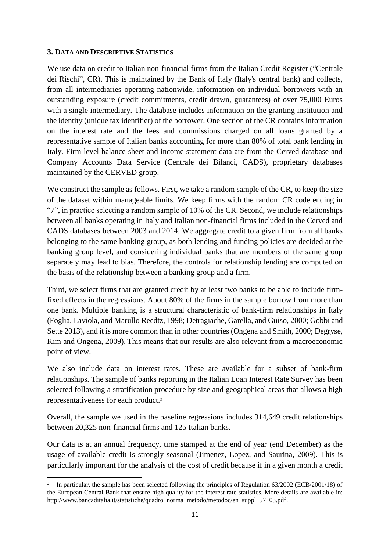### **3. DATA AND DESCRIPTIVE STATISTICS**

**.** 

We use data on credit to Italian non-financial firms from the Italian Credit Register ("Centrale dei Rischi", CR). This is maintained by the Bank of Italy (Italy's central bank) and collects, from all intermediaries operating nationwide, information on individual borrowers with an outstanding exposure (credit commitments, credit drawn, guarantees) of over 75,000 Euros with a single intermediary. The database includes information on the granting institution and the identity (unique tax identifier) of the borrower. One section of the CR contains information on the interest rate and the fees and commissions charged on all loans granted by a representative sample of Italian banks accounting for more than 80% of total bank lending in Italy. Firm level balance sheet and income statement data are from the Cerved database and Company Accounts Data Service (Centrale dei Bilanci, CADS), proprietary databases maintained by the CERVED group.

We construct the sample as follows. First, we take a random sample of the CR, to keep the size of the dataset within manageable limits. We keep firms with the random CR code ending in "7", in practice selecting a random sample of 10% of the CR. Second, we include relationships between all banks operating in Italy and Italian non-financial firms included in the Cerved and CADS databases between 2003 and 2014. We aggregate credit to a given firm from all banks belonging to the same banking group, as both lending and funding policies are decided at the banking group level, and considering individual banks that are members of the same group separately may lead to bias. Therefore, the controls for relationship lending are computed on the basis of the relationship between a banking group and a firm.

Third, we select firms that are granted credit by at least two banks to be able to include firmfixed effects in the regressions. About 80% of the firms in the sample borrow from more than one bank. Multiple banking is a structural characteristic of bank-firm relationships in Italy (Foglia, Laviola, and Marullo Reedtz, 1998; Detragiache, Garella, and Guiso, 2000; Gobbi and Sette 2013), and it is more common than in other countries (Ongena and Smith, 2000; Degryse, Kim and Ongena, 2009). This means that our results are also relevant from a macroeconomic point of view.

We also include data on interest rates. These are available for a subset of bank-firm relationships. The sample of banks reporting in the Italian Loan Interest Rate Survey has been selected following a stratification procedure by size and geographical areas that allows a high representativeness for each product.<sup>3</sup>

Overall, the sample we used in the baseline regressions includes 314,649 credit relationships between 20,325 non-financial firms and 125 Italian banks.

Our data is at an annual frequency, time stamped at the end of year (end December) as the usage of available credit is strongly seasonal (Jimenez, Lopez, and Saurina, 2009). This is particularly important for the analysis of the cost of credit because if in a given month a credit

<sup>3</sup> In particular, the sample has been selected following the principles of Regulation 63/2002 (ECB/2001/18) of the European Central Bank that ensure high quality for the interest rate statistics. More details are available in: [http://www.bancaditalia.it/statistiche/quadro\\_norma\\_metodo/metodoc/en\\_suppl\\_57\\_03.pdf.](http://www.bancaditalia.it/statistiche/quadro_norma_metodo/metodoc/en_suppl_57_03.pdf)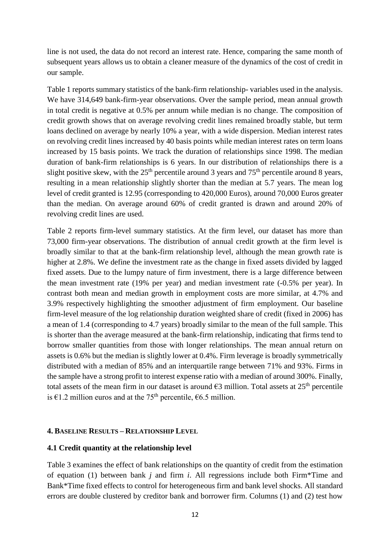line is not used, the data do not record an interest rate. Hence, comparing the same month of subsequent years allows us to obtain a cleaner measure of the dynamics of the cost of credit in our sample.

Table 1 reports summary statistics of the bank-firm relationship- variables used in the analysis. We have 314,649 bank-firm-year observations. Over the sample period, mean annual growth in total credit is negative at 0.5% per annum while median is no change. The composition of credit growth shows that on average revolving credit lines remained broadly stable, but term loans declined on average by nearly 10% a year, with a wide dispersion. Median interest rates on revolving credit lines increased by 40 basis points while median interest rates on term loans increased by 15 basis points. We track the duration of relationships since 1998. The median duration of bank-firm relationships is 6 years. In our distribution of relationships there is a slight positive skew, with the  $25<sup>th</sup>$  percentile around 3 years and  $75<sup>th</sup>$  percentile around 8 years, resulting in a mean relationship slightly shorter than the median at 5.7 years. The mean log level of credit granted is 12.95 (corresponding to 420,000 Euros), around 70,000 Euros greater than the median. On average around 60% of credit granted is drawn and around 20% of revolving credit lines are used.

Table 2 reports firm-level summary statistics. At the firm level, our dataset has more than 73,000 firm-year observations. The distribution of annual credit growth at the firm level is broadly similar to that at the bank-firm relationship level, although the mean growth rate is higher at 2.8%. We define the investment rate as the change in fixed assets divided by lagged fixed assets. Due to the lumpy nature of firm investment, there is a large difference between the mean investment rate (19% per year) and median investment rate (-0.5% per year). In contrast both mean and median growth in employment costs are more similar, at 4.7% and 3.9% respectively highlighting the smoother adjustment of firm employment. Our baseline firm-level measure of the log relationship duration weighted share of credit (fixed in 2006) has a mean of 1.4 (corresponding to 4.7 years) broadly similar to the mean of the full sample. This is shorter than the average measured at the bank-firm relationship, indicating that firms tend to borrow smaller quantities from those with longer relationships. The mean annual return on assets is 0.6% but the median is slightly lower at 0.4%. Firm leverage is broadly symmetrically distributed with a median of 85% and an interquartile range between 71% and 93%. Firms in the sample have a strong profit to interest expense ratio with a median of around 300%. Finally, total assets of the mean firm in our dataset is around  $\epsilon$ 3 million. Total assets at 25<sup>th</sup> percentile is €1.2 million euros and at the 75<sup>th</sup> percentile, €6.5 million.

#### **4. BASELINE RESULTS – RELATIONSHIP LEVEL**

### **4.1 Credit quantity at the relationship level**

Table 3 examines the effect of bank relationships on the quantity of credit from the estimation of equation (1) between bank *j* and firm *i*. All regressions include both Firm\*Time and Bank\*Time fixed effects to control for heterogeneous firm and bank level shocks. All standard errors are double clustered by creditor bank and borrower firm. Columns (1) and (2) test how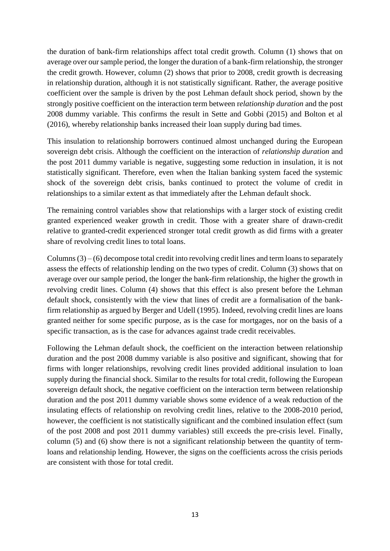the duration of bank-firm relationships affect total credit growth. Column (1) shows that on average over our sample period, the longer the duration of a bank-firm relationship, the stronger the credit growth. However, column (2) shows that prior to 2008, credit growth is decreasing in relationship duration, although it is not statistically significant. Rather, the average positive coefficient over the sample is driven by the post Lehman default shock period, shown by the strongly positive coefficient on the interaction term between r*elationship duration* and the post 2008 dummy variable. This confirms the result in Sette and Gobbi (2015) and Bolton et al (2016), whereby relationship banks increased their loan supply during bad times.

This insulation to relationship borrowers continued almost unchanged during the European sovereign debt crisis. Although the coefficient on the interaction of *relationship duration* and the post 2011 dummy variable is negative, suggesting some reduction in insulation, it is not statistically significant. Therefore, even when the Italian banking system faced the systemic shock of the sovereign debt crisis, banks continued to protect the volume of credit in relationships to a similar extent as that immediately after the Lehman default shock.

The remaining control variables show that relationships with a larger stock of existing credit granted experienced weaker growth in credit. Those with a greater share of drawn-credit relative to granted-credit experienced stronger total credit growth as did firms with a greater share of revolving credit lines to total loans.

Columns  $(3) - (6)$  decompose total credit into revolving credit lines and term loans to separately assess the effects of relationship lending on the two types of credit. Column (3) shows that on average over our sample period, the longer the bank-firm relationship, the higher the growth in revolving credit lines. Column (4) shows that this effect is also present before the Lehman default shock, consistently with the view that lines of credit are a formalisation of the bankfirm relationship as argued by Berger and Udell (1995). Indeed, revolving credit lines are loans granted neither for some specific purpose, as is the case for mortgages, nor on the basis of a specific transaction, as is the case for advances against trade credit receivables.

Following the Lehman default shock, the coefficient on the interaction between relationship duration and the post 2008 dummy variable is also positive and significant, showing that for firms with longer relationships, revolving credit lines provided additional insulation to loan supply during the financial shock. Similar to the results for total credit, following the European sovereign default shock, the negative coefficient on the interaction term between relationship duration and the post 2011 dummy variable shows some evidence of a weak reduction of the insulating effects of relationship on revolving credit lines, relative to the 2008-2010 period, however, the coefficient is not statistically significant and the combined insulation effect (sum of the post 2008 and post 2011 dummy variables) still exceeds the pre-crisis level. Finally, column (5) and (6) show there is not a significant relationship between the quantity of termloans and relationship lending. However, the signs on the coefficients across the crisis periods are consistent with those for total credit.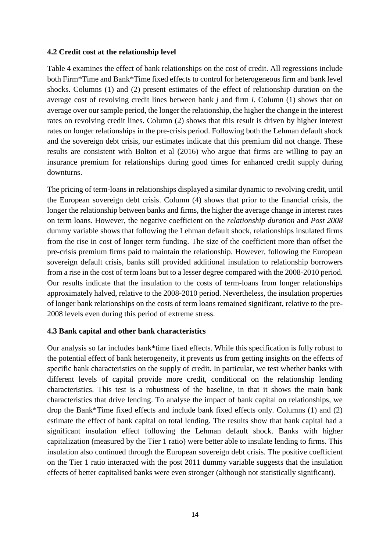### **4.2 Credit cost at the relationship level**

Table 4 examines the effect of bank relationships on the cost of credit. All regressions include both Firm\*Time and Bank\*Time fixed effects to control for heterogeneous firm and bank level shocks. Columns (1) and (2) present estimates of the effect of relationship duration on the average cost of revolving credit lines between bank *j* and firm *i*. Column (1) shows that on average over our sample period, the longer the relationship, the higher the change in the interest rates on revolving credit lines. Column (2) shows that this result is driven by higher interest rates on longer relationships in the pre-crisis period. Following both the Lehman default shock and the sovereign debt crisis, our estimates indicate that this premium did not change. These results are consistent with Bolton et al (2016) who argue that firms are willing to pay an insurance premium for relationships during good times for enhanced credit supply during downturns.

The pricing of term-loans in relationships displayed a similar dynamic to revolving credit, until the European sovereign debt crisis. Column (4) shows that prior to the financial crisis, the longer the relationship between banks and firms, the higher the average change in interest rates on term loans. However, the negative coefficient on the *relationship duration* and *Post 2008* dummy variable shows that following the Lehman default shock, relationships insulated firms from the rise in cost of longer term funding. The size of the coefficient more than offset the pre-crisis premium firms paid to maintain the relationship. However, following the European sovereign default crisis, banks still provided additional insulation to relationship borrowers from a rise in the cost of term loans but to a lesser degree compared with the 2008-2010 period. Our results indicate that the insulation to the costs of term-loans from longer relationships approximately halved, relative to the 2008-2010 period. Nevertheless, the insulation properties of longer bank relationships on the costs of term loans remained significant, relative to the pre-2008 levels even during this period of extreme stress.

## **4.3 Bank capital and other bank characteristics**

Our analysis so far includes bank\*time fixed effects. While this specification is fully robust to the potential effect of bank heterogeneity, it prevents us from getting insights on the effects of specific bank characteristics on the supply of credit. In particular, we test whether banks with different levels of capital provide more credit, conditional on the relationship lending characteristics. This test is a robustness of the baseline, in that it shows the main bank characteristics that drive lending. To analyse the impact of bank capital on relationships, we drop the Bank\*Time fixed effects and include bank fixed effects only. Columns (1) and (2) estimate the effect of bank capital on total lending. The results show that bank capital had a significant insulation effect following the Lehman default shock. Banks with higher capitalization (measured by the Tier 1 ratio) were better able to insulate lending to firms. This insulation also continued through the European sovereign debt crisis. The positive coefficient on the Tier 1 ratio interacted with the post 2011 dummy variable suggests that the insulation effects of better capitalised banks were even stronger (although not statistically significant).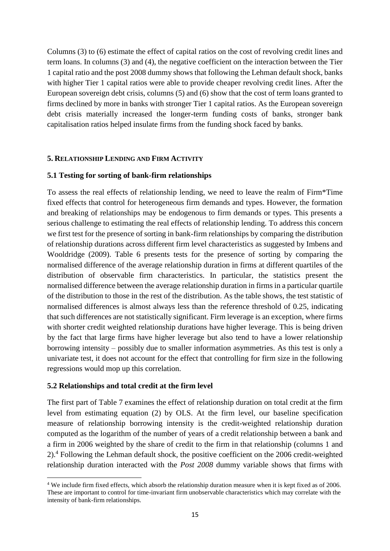Columns (3) to (6) estimate the effect of capital ratios on the cost of revolving credit lines and term loans. In columns (3) and (4), the negative coefficient on the interaction between the Tier 1 capital ratio and the post 2008 dummy shows that following the Lehman default shock, banks with higher Tier 1 capital ratios were able to provide cheaper revolving credit lines. After the European sovereign debt crisis, columns (5) and (6) show that the cost of term loans granted to firms declined by more in banks with stronger Tier 1 capital ratios. As the European sovereign debt crisis materially increased the longer-term funding costs of banks, stronger bank capitalisation ratios helped insulate firms from the funding shock faced by banks.

### **5. RELATIONSHIP LENDING AND FIRM ACTIVITY**

### **5.1 Testing for sorting of bank-firm relationships**

To assess the real effects of relationship lending, we need to leave the realm of Firm\*Time fixed effects that control for heterogeneous firm demands and types. However, the formation and breaking of relationships may be endogenous to firm demands or types. This presents a serious challenge to estimating the real effects of relationship lending. To address this concern we first test for the presence of sorting in bank-firm relationships by comparing the distribution of relationship durations across different firm level characteristics as suggested by Imbens and Wooldridge (2009). Table 6 presents tests for the presence of sorting by comparing the normalised difference of the average relationship duration in firms at different quartiles of the distribution of observable firm characteristics. In particular, the statistics present the normalised difference between the average relationship duration in firms in a particular quartile of the distribution to those in the rest of the distribution. As the table shows, the test statistic of normalised differences is almost always less than the reference threshold of 0.25, indicating that such differences are not statistically significant. Firm leverage is an exception, where firms with shorter credit weighted relationship durations have higher leverage. This is being driven by the fact that large firms have higher leverage but also tend to have a lower relationship borrowing intensity – possibly due to smaller information asymmetries. As this test is only a univariate test, it does not account for the effect that controlling for firm size in the following regressions would mop up this correlation.

### **5.2 Relationships and total credit at the firm level**

1

The first part of Table 7 examines the effect of relationship duration on total credit at the firm level from estimating equation (2) by OLS. At the firm level, our baseline specification measure of relationship borrowing intensity is the credit-weighted relationship duration computed as the logarithm of the number of years of a credit relationship between a bank and a firm in 2006 weighted by the share of credit to the firm in that relationship (columns 1 and 2). <sup>4</sup> Following the Lehman default shock, the positive coefficient on the 2006 credit-weighted relationship duration interacted with the *Post 2008* dummy variable shows that firms with

<sup>4</sup> We include firm fixed effects, which absorb the relationship duration measure when it is kept fixed as of 2006. These are important to control for time-invariant firm unobservable characteristics which may correlate with the intensity of bank-firm relationships.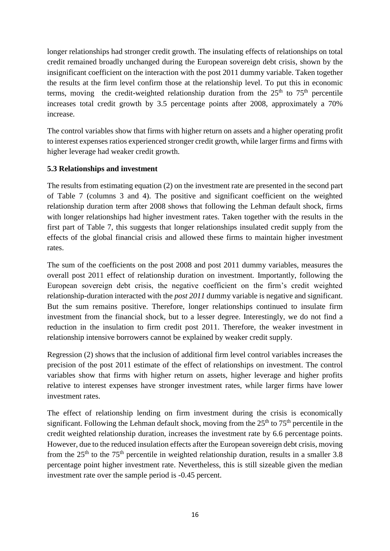longer relationships had stronger credit growth. The insulating effects of relationships on total credit remained broadly unchanged during the European sovereign debt crisis, shown by the insignificant coefficient on the interaction with the post 2011 dummy variable. Taken together the results at the firm level confirm those at the relationship level. To put this in economic terms, moving the credit-weighted relationship duration from the  $25<sup>th</sup>$  to  $75<sup>th</sup>$  percentile increases total credit growth by 3.5 percentage points after 2008, approximately a 70% increase.

The control variables show that firms with higher return on assets and a higher operating profit to interest expenses ratios experienced stronger credit growth, while larger firms and firms with higher leverage had weaker credit growth.

## **5.3 Relationships and investment**

The results from estimating equation (2) on the investment rate are presented in the second part of Table 7 (columns 3 and 4). The positive and significant coefficient on the weighted relationship duration term after 2008 shows that following the Lehman default shock, firms with longer relationships had higher investment rates. Taken together with the results in the first part of Table 7, this suggests that longer relationships insulated credit supply from the effects of the global financial crisis and allowed these firms to maintain higher investment rates.

The sum of the coefficients on the post 2008 and post 2011 dummy variables, measures the overall post 2011 effect of relationship duration on investment. Importantly, following the European sovereign debt crisis, the negative coefficient on the firm's credit weighted relationship-duration interacted with the *post 2011* dummy variable is negative and significant. But the sum remains positive. Therefore, longer relationships continued to insulate firm investment from the financial shock, but to a lesser degree. Interestingly, we do not find a reduction in the insulation to firm credit post 2011. Therefore, the weaker investment in relationship intensive borrowers cannot be explained by weaker credit supply.

Regression (2) shows that the inclusion of additional firm level control variables increases the precision of the post 2011 estimate of the effect of relationships on investment. The control variables show that firms with higher return on assets, higher leverage and higher profits relative to interest expenses have stronger investment rates, while larger firms have lower investment rates.

The effect of relationship lending on firm investment during the crisis is economically significant. Following the Lehman default shock, moving from the  $25<sup>th</sup>$  to  $75<sup>th</sup>$  percentile in the credit weighted relationship duration, increases the investment rate by 6.6 percentage points. However, due to the reduced insulation effects after the European sovereign debt crisis, moving from the  $25<sup>th</sup>$  to the 75<sup>th</sup> percentile in weighted relationship duration, results in a smaller 3.8 percentage point higher investment rate. Nevertheless, this is still sizeable given the median investment rate over the sample period is -0.45 percent.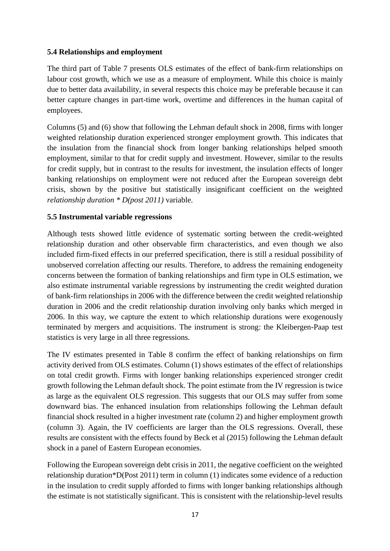## **5.4 Relationships and employment**

The third part of Table 7 presents OLS estimates of the effect of bank-firm relationships on labour cost growth, which we use as a measure of employment. While this choice is mainly due to better data availability, in several respects this choice may be preferable because it can better capture changes in part-time work, overtime and differences in the human capital of employees.

Columns (5) and (6) show that following the Lehman default shock in 2008, firms with longer weighted relationship duration experienced stronger employment growth. This indicates that the insulation from the financial shock from longer banking relationships helped smooth employment, similar to that for credit supply and investment. However, similar to the results for credit supply, but in contrast to the results for investment, the insulation effects of longer banking relationships on employment were not reduced after the European sovereign debt crisis, shown by the positive but statistically insignificant coefficient on the weighted *relationship duration \* D(post 2011)* variable.

## **5.5 Instrumental variable regressions**

Although tests showed little evidence of systematic sorting between the credit-weighted relationship duration and other observable firm characteristics, and even though we also included firm-fixed effects in our preferred specification, there is still a residual possibility of unobserved correlation affecting our results. Therefore, to address the remaining endogeneity concerns between the formation of banking relationships and firm type in OLS estimation, we also estimate instrumental variable regressions by instrumenting the credit weighted duration of bank-firm relationships in 2006 with the difference between the credit weighted relationship duration in 2006 and the credit relationship duration involving only banks which merged in 2006. In this way, we capture the extent to which relationship durations were exogenously terminated by mergers and acquisitions. The instrument is strong: the Kleibergen-Paap test statistics is very large in all three regressions.

The IV estimates presented in Table 8 confirm the effect of banking relationships on firm activity derived from OLS estimates. Column (1) shows estimates of the effect of relationships on total credit growth. Firms with longer banking relationships experienced stronger credit growth following the Lehman default shock. The point estimate from the IV regression is twice as large as the equivalent OLS regression. This suggests that our OLS may suffer from some downward bias. The enhanced insulation from relationships following the Lehman default financial shock resulted in a higher investment rate (column 2) and higher employment growth (column 3). Again, the IV coefficients are larger than the OLS regressions. Overall, these results are consistent with the effects found by Beck et al (2015) following the Lehman default shock in a panel of Eastern European economies.

Following the European sovereign debt crisis in 2011, the negative coefficient on the weighted relationship duration\*D(Post 2011) term in column (1) indicates some evidence of a reduction in the insulation to credit supply afforded to firms with longer banking relationships although the estimate is not statistically significant. This is consistent with the relationship-level results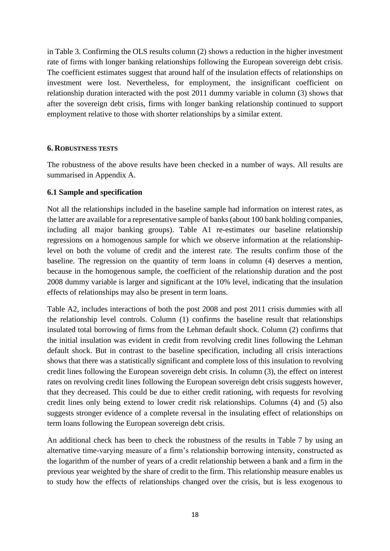in Table 3. Confirming the OLS results column (2) shows a reduction in the higher investment rate of firms with longer banking relationships following the European sovereign debt crisis. The coefficient estimates suggest that around half of the insulation effects of relationships on investment were lost. Nevertheless, for employment, the insignificant coefficient on relationship duration interacted with the post 2011 dummy variable in column (3) shows that after the sovereign debt crisis, firms with longer banking relationship continued to support employment relative to those with shorter relationships by a similar extent.

### **6. ROBUSTNESS TESTS**

The robustness of the above results have been checked in a number of ways. All results are summarised in Appendix A.

### **6.1 Sample and specification**

Not all the relationships included in the baseline sample had information on interest rates, as the latter are available for a representative sample of banks (about 100 bank holding companies, including all major banking groups). Table A1 re-estimates our baseline relationship regressions on a homogenous sample for which we observe information at the relationshiplevel on both the volume of credit and the interest rate. The results confirm those of the baseline. The regression on the quantity of term loans in column (4) deserves a mention, because in the homogenous sample, the coefficient of the relationship duration and the post 2008 dummy variable is larger and significant at the 10% level, indicating that the insulation effects of relationships may also be present in term loans.

Table A2, includes interactions of both the post 2008 and post 2011 crisis dummies with all the relationship level controls. Column (1) confirms the baseline result that relationships insulated total borrowing of firms from the Lehman default shock. Column (2) confirms that the initial insulation was evident in credit from revolving credit lines following the Lehman default shock. But in contrast to the baseline specification, including all crisis interactions shows that there was a statistically significant and complete loss of this insulation to revolving credit lines following the European sovereign debt crisis. In column (3), the effect on interest rates on revolving credit lines following the European sovereign debt crisis suggests however, that they decreased. This could be due to either credit rationing, with requests for revolving credit lines only being extend to lower credit risk relationships. Columns (4) and (5) also suggests stronger evidence of a complete reversal in the insulating effect of relationships on term loans following the European sovereign debt crisis.

An additional check has been to check the robustness of the results in Table 7 by using an alternative time-varying measure of a firm's relationship borrowing intensity, constructed as the logarithm of the number of years of a credit relationship between a bank and a firm in the previous year weighted by the share of credit to the firm. This relationship measure enables us to study how the effects of relationships changed over the crisis, but is less exogenous to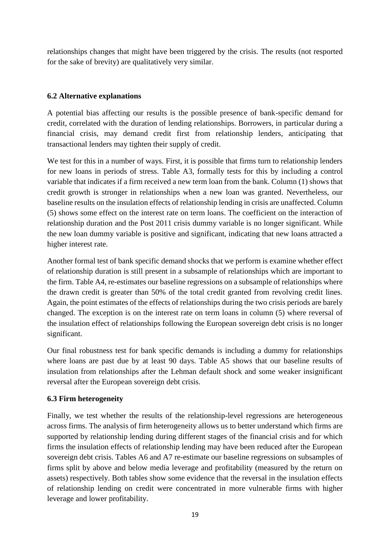relationships changes that might have been triggered by the crisis. The results (not resported for the sake of brevity) are qualitatively very similar.

## **6.2 Alternative explanations**

A potential bias affecting our results is the possible presence of bank-specific demand for credit, correlated with the duration of lending relationships. Borrowers, in particular during a financial crisis, may demand credit first from relationship lenders, anticipating that transactional lenders may tighten their supply of credit.

We test for this in a number of ways. First, it is possible that firms turn to relationship lenders for new loans in periods of stress. Table A3, formally tests for this by including a control variable that indicates if a firm received a new term loan from the bank. Column (1) shows that credit growth is stronger in relationships when a new loan was granted. Nevertheless, our baseline results on the insulation effects of relationship lending in crisis are unaffected. Column (5) shows some effect on the interest rate on term loans. The coefficient on the interaction of relationship duration and the Post 2011 crisis dummy variable is no longer significant. While the new loan dummy variable is positive and significant, indicating that new loans attracted a higher interest rate.

Another formal test of bank specific demand shocks that we perform is examine whether effect of relationship duration is still present in a subsample of relationships which are important to the firm. Table A4, re-estimates our baseline regressions on a subsample of relationships where the drawn credit is greater than 50% of the total credit granted from revolving credit lines. Again, the point estimates of the effects of relationships during the two crisis periods are barely changed. The exception is on the interest rate on term loans in column (5) where reversal of the insulation effect of relationships following the European sovereign debt crisis is no longer significant.

Our final robustness test for bank specific demands is including a dummy for relationships where loans are past due by at least 90 days. Table A5 shows that our baseline results of insulation from relationships after the Lehman default shock and some weaker insignificant reversal after the European sovereign debt crisis.

## **6.3 Firm heterogeneity**

Finally, we test whether the results of the relationship-level regressions are heterogeneous across firms. The analysis of firm heterogeneity allows us to better understand which firms are supported by relationship lending during different stages of the financial crisis and for which firms the insulation effects of relationship lending may have been reduced after the European sovereign debt crisis. Tables A6 and A7 re-estimate our baseline regressions on subsamples of firms split by above and below media leverage and profitability (measured by the return on assets) respectively. Both tables show some evidence that the reversal in the insulation effects of relationship lending on credit were concentrated in more vulnerable firms with higher leverage and lower profitability.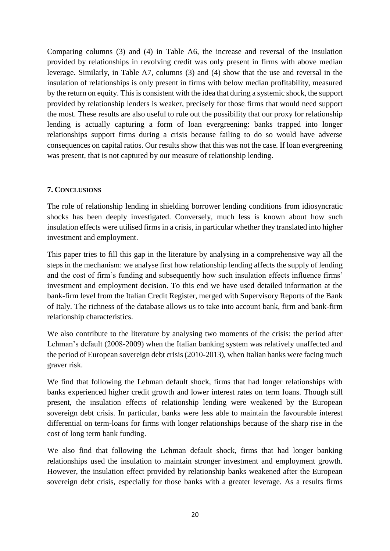Comparing columns (3) and (4) in Table A6, the increase and reversal of the insulation provided by relationships in revolving credit was only present in firms with above median leverage. Similarly, in Table A7, columns (3) and (4) show that the use and reversal in the insulation of relationships is only present in firms with below median profitability, measured by the return on equity. This is consistent with the idea that during a systemic shock, the support provided by relationship lenders is weaker, precisely for those firms that would need support the most. These results are also useful to rule out the possibility that our proxy for relationship lending is actually capturing a form of loan evergreening: banks trapped into longer relationships support firms during a crisis because failing to do so would have adverse consequences on capital ratios. Our results show that this was not the case. If loan evergreening was present, that is not captured by our measure of relationship lending.

## **7. CONCLUSIONS**

The role of relationship lending in shielding borrower lending conditions from idiosyncratic shocks has been deeply investigated. Conversely, much less is known about how such insulation effects were utilised firms in a crisis, in particular whether they translated into higher investment and employment.

This paper tries to fill this gap in the literature by analysing in a comprehensive way all the steps in the mechanism: we analyse first how relationship lending affects the supply of lending and the cost of firm's funding and subsequently how such insulation effects influence firms' investment and employment decision. To this end we have used detailed information at the bank-firm level from the Italian Credit Register, merged with Supervisory Reports of the Bank of Italy. The richness of the database allows us to take into account bank, firm and bank-firm relationship characteristics.

We also contribute to the literature by analysing two moments of the crisis: the period after Lehman's default (2008-2009) when the Italian banking system was relatively unaffected and the period of European sovereign debt crisis (2010-2013), when Italian banks were facing much graver risk.

We find that following the Lehman default shock, firms that had longer relationships with banks experienced higher credit growth and lower interest rates on term loans. Though still present, the insulation effects of relationship lending were weakened by the European sovereign debt crisis. In particular, banks were less able to maintain the favourable interest differential on term-loans for firms with longer relationships because of the sharp rise in the cost of long term bank funding.

We also find that following the Lehman default shock, firms that had longer banking relationships used the insulation to maintain stronger investment and employment growth. However, the insulation effect provided by relationship banks weakened after the European sovereign debt crisis, especially for those banks with a greater leverage. As a results firms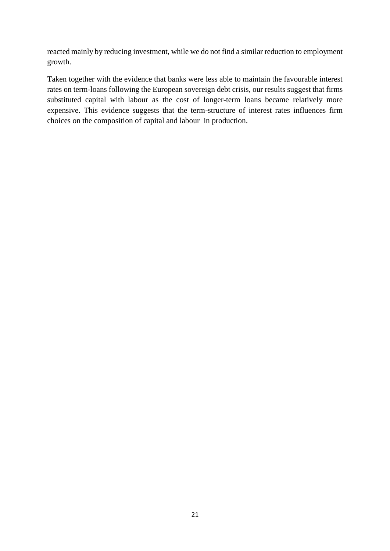reacted mainly by reducing investment, while we do not find a similar reduction to employment growth.

Taken together with the evidence that banks were less able to maintain the favourable interest rates on term-loans following the European sovereign debt crisis, our results suggest that firms substituted capital with labour as the cost of longer-term loans became relatively more expensive. This evidence suggests that the term-structure of interest rates influences firm choices on the composition of capital and labour in production.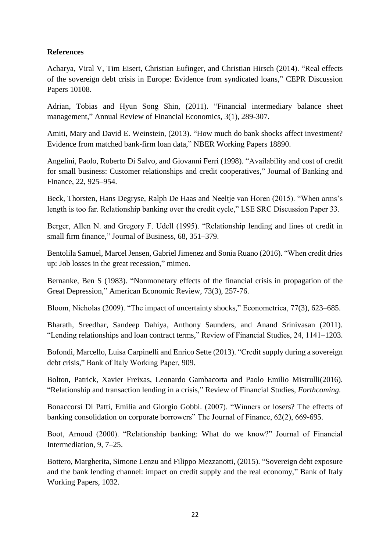## **References**

Acharya, Viral V, Tim Eisert, Christian Eufinger, and Christian Hirsch (2014). "Real effects of the sovereign debt crisis in Europe: Evidence from syndicated loans," CEPR Discussion Papers 10108.

Adrian, Tobias and Hyun Song Shin, (2011). "Financial intermediary balance sheet management," Annual Review of Financial Economics, 3(1), 289-307.

Amiti, Mary and David E. Weinstein, (2013). "How much do bank shocks affect investment? Evidence from matched bank-firm loan data," NBER Working Papers 18890.

Angelini, Paolo, Roberto Di Salvo, and Giovanni Ferri (1998). "Availability and cost of credit for small business: Customer relationships and credit cooperatives," Journal of Banking and Finance, 22, 925–954.

Beck, Thorsten, Hans Degryse, Ralph De Haas and Neeltje van Horen (2015). "When arms's length is too far. Relationship banking over the credit cycle," LSE SRC Discussion Paper 33.

Berger, Allen N. and Gregory F. Udell (1995). "Relationship lending and lines of credit in small firm finance," Journal of Business, 68, 351–379.

Bentolila Samuel, Marcel Jensen, Gabriel Jimenez and Sonia Ruano (2016). "When credit dries up: Job losses in the great recession," mimeo.

Bernanke, Ben S (1983). "Nonmonetary effects of the financial crisis in propagation of the Great Depression," American Economic Review, 73(3), 257-76.

Bloom, Nicholas (2009). "The impact of uncertainty shocks," Econometrica, 77(3), 623–685.

Bharath, Sreedhar, Sandeep Dahiya, Anthony Saunders, and Anand Srinivasan (2011). "Lending relationships and loan contract terms," Review of Financial Studies, 24, 1141–1203.

Bofondi, Marcello, Luisa Carpinelli and Enrico Sette (2013). "Credit supply during a sovereign debt crisis," Bank of Italy Working Paper, 909.

Bolton, Patrick, Xavier Freixas, Leonardo Gambacorta and Paolo Emilio Mistrulli(2016). "Relationship and transaction lending in a crisis," Review of Financial Studies, *Forthcoming.*

Bonaccorsi Di Patti, Emilia and Giorgio Gobbi. (2007). "Winners or losers? The effects of banking consolidation on corporate borrowers" The Journal of Finance, 62(2), 669-695.

Boot, Arnoud (2000). "Relationship banking: What do we know?" Journal of Financial Intermediation, 9, 7–25.

Bottero, Margherita, Simone Lenzu and Filippo Mezzanotti, (2015). "Sovereign debt exposure and the bank lending channel: impact on credit supply and the real economy," Bank of Italy Working Papers, 1032.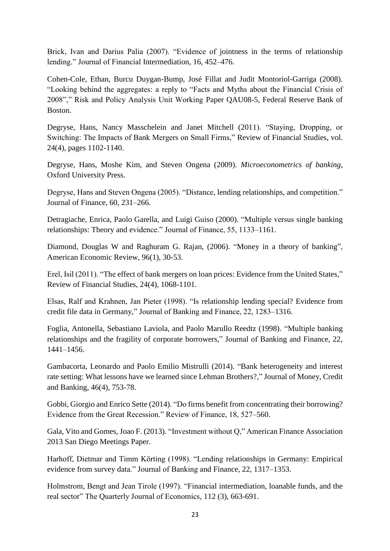Brick, Ivan and Darius Palia (2007). "Evidence of jointness in the terms of relationship lending." Journal of Financial Intermediation, 16, 452–476.

Cohen-Cole, Ethan, Burcu Duygan-Bump, José Fillat and Judit Montoriol-Garriga (2008). "Looking behind the aggregates: a reply to "Facts and Myths about the Financial Crisis of 2008"," Risk and Policy Analysis Unit Working Paper QAU08-5, Federal Reserve Bank of Boston.

Degryse, Hans, Nancy Masschelein and Janet Mitchell (2011). "Staying, Dropping, or Switching: The Impacts of Bank Mergers on Small Firms," Review of Financial Studies, vol. 24(4), pages 1102-1140.

Degryse, Hans, Moshe Kim, and Steven Ongena (2009). *Microeconometrics of banking*, Oxford University Press.

Degryse, Hans and Steven Ongena (2005). "Distance, lending relationships, and competition." Journal of Finance, 60, 231–266.

Detragiache, Enrica, Paolo Garella, and Luigi Guiso (2000). "Multiple versus single banking relationships: Theory and evidence." Journal of Finance, 55, 1133–1161.

Diamond, Douglas W and Raghuram G. Rajan, (2006). "Money in a theory of banking", American Economic Review, 96(1), 30-53.

Erel, Isil (2011). "The effect of bank mergers on loan prices: Evidence from the United States," Review of Financial Studies, 24(4), 1068-1101.

Elsas, Ralf and Krahnen, Jan Pieter (1998). "Is relationship lending special? Evidence from credit file data in Germany," Journal of Banking and Finance, 22, 1283–1316.

Foglia, Antonella, Sebastiano Laviola, and Paolo Marullo Reedtz (1998). "Multiple banking relationships and the fragility of corporate borrowers," Journal of Banking and Finance, 22, 1441–1456.

Gambacorta, Leonardo and Paolo Emilio Mistrulli (2014). ["Bank heterogeneity and interest](http://onlinelibrary.wiley.com/doi/10.1111/jmcb.12124/abstract)  [rate setting: What lessons have we learned since Lehman Brothers?,](http://onlinelibrary.wiley.com/doi/10.1111/jmcb.12124/abstract)" Journal of Money, Credit and Banking, 46(4), 753-78.

Gobbi, Giorgio and Enrico Sette (2014). "Do firms benefit from concentrating their borrowing? Evidence from the Great Recession." Review of Finance, 18, 527–560.

Gala, Vito and Gomes, Joao F. (2013). "Investment without Q," American Finance Association 2013 San Diego Meetings Paper.

Harhoff, Dietmar and Timm Körting (1998). "Lending relationships in Germany: Empirical evidence from survey data." Journal of Banking and Finance, 22, 1317–1353.

Holmstrom, Bengt and Jean Tirole (1997). "Financial intermediation, loanable funds, and the real sector" The Quarterly Journal of Economics, 112 (3), 663-691.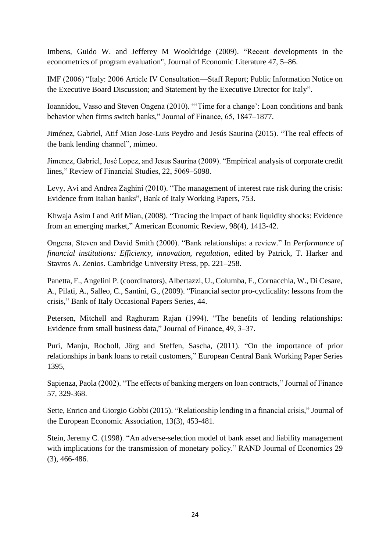Imbens, Guido W. and Jefferey M Wooldridge (2009). "Recent developments in the econometrics of program evaluation", Journal of Economic Literature 47, 5–86.

IMF (2006) "Italy: 2006 Article IV Consultation—Staff Report; Public Information Notice on the Executive Board Discussion; and Statement by the Executive Director for Italy".

Ioannidou, Vasso and Steven Ongena (2010). "'Time for a change': Loan conditions and bank behavior when firms switch banks," Journal of Finance, 65, 1847–1877.

Jiménez, Gabriel, Atif Mian Jose-Luis Peydro and Jesús Saurina (2015). "The real effects of the bank lending channel", mimeo.

Jimenez, Gabriel, José Lopez, and Jesus Saurina (2009). "Empirical analysis of corporate credit lines," Review of Financial Studies, 22, 5069–5098.

Levy, Avi and Andrea Zaghini (2010). "The management of interest rate risk during the crisis: Evidence from Italian banks", Bank of Italy Working Papers, 753.

Khwaja Asim I and Atif Mian, (2008). "Tracing the impact of bank liquidity shocks: Evidence from an emerging market," American Economic Review, 98(4), 1413-42.

Ongena, Steven and David Smith (2000). "Bank relationships: a review." In *Performance of financial institutions: Efficiency, innovation, regulation*, edited by Patrick, T. Harker and Stavros A. Zenios. Cambridge University Press, pp. 221–258.

Panetta, F., Angelini P. (coordinators), Albertazzi, U., Columba, F., Cornacchia, W., Di Cesare, A., Pilati, A., Salleo, C., Santini, G., (2009). "Financial sector pro-cyclicality: lessons from the crisis," Bank of Italy Occasional Papers Series, 44.

Petersen, Mitchell and Raghuram Rajan (1994). "The benefits of lending relationships: Evidence from small business data," Journal of Finance, 49, 3–37.

Puri, Manju, Rocholl, Jörg and Steffen, Sascha, (2011). "On the importance of prior relationships in bank loans to retail customers," European Central Bank Working Paper Series 1395,

Sapienza, Paola (2002). "The effects of banking mergers on loan contracts," Journal of Finance 57, 329-368.

Sette, Enrico and Giorgio Gobbi (2015). "Relationship lending in a financial crisis," Journal of the European Economic Association, 13(3), 453-481.

Stein, Jeremy C. (1998). "An adverse-selection model of bank asset and liability management with implications for the transmission of monetary policy." RAND Journal of Economics 29 (3), 466-486.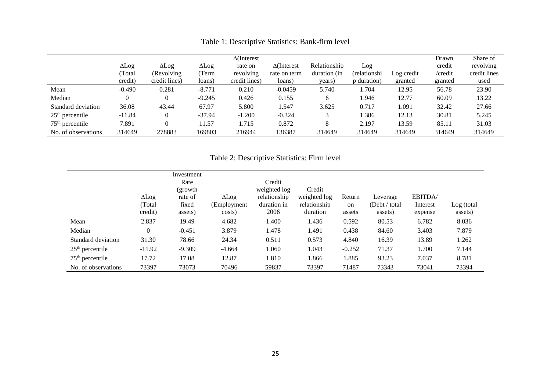|                     |              |               |              | $\Delta$ (Interest |                    |              |               |            | Drawn   | Share of     |
|---------------------|--------------|---------------|--------------|--------------------|--------------------|--------------|---------------|------------|---------|--------------|
|                     | $\Delta$ Log | $\Delta$ Log  | $\Delta$ Log | rate on            | $\Delta$ (Interest | Relationship | Log           |            | credit  | revolving    |
|                     | (Total       | (Revolving)   | (Term        | revolving          | rate on term       | duration (in | (relationshi) | Log credit | /credit | credit lines |
|                     | credit)      | credit lines) | loans)       | credit lines)      | loans)             | years)       | p duration)   | granted    | granted | used         |
| Mean                | $-0.490$     | 0.281         | $-8.771$     | 0.210              | $-0.0459$          | 5.740        | 1.704         | 12.95      | 56.78   | 23.90        |
| Median              |              | $\Omega$      | $-9.245$     | 0.426              | 0.155              | 6            | 1.946         | 12.77      | 60.09   | 13.22        |
| Standard deviation  | 36.08        | 43.44         | 67.97        | 5.800              | 1.547              | 3.625        | 0.717         | 1.091      | 32.42   | 27.66        |
| $25th$ percentile   | $-11.84$     | $\Omega$      | $-37.94$     | $-1.200$           | $-0.324$           |              | 1.386         | 12.13      | 30.81   | 5.245        |
| $75th$ percentile   | 7.891        |               | 11.57        | 1.715              | 0.872              | 8            | 2.197         | 13.59      | 85.11   | 31.03        |
| No. of observations | 314649       | 278883        | 169803       | 216944             | 136387             | 314649       | 314649        | 314649     | 314649  | 314649       |

Table 1: Descriptive Statistics: Bank-firm level

Table 2: Descriptive Statistics: Firm level

|                     |                | Investment |              |              |              |               |                |          |            |
|---------------------|----------------|------------|--------------|--------------|--------------|---------------|----------------|----------|------------|
|                     |                | Rate       |              | Credit       |              |               |                |          |            |
|                     |                | (growth    |              | weighted log | Credit       |               |                |          |            |
|                     | $\Delta$ Log   | rate of    | $\Delta$ Log | relationship | weighted log | Return        | Leverage       | EBITDA/  |            |
|                     | (Total)        | fixed      | (Employment  | duration in  | relationship | <sub>on</sub> | (Debt / total) | Interest | Log (total |
|                     | credit)        | assets)    | costs)       | 2006         | duration     | assets        | assets)        | expense  | assets)    |
| Mean                | 2.837          | 19.49      | 4.682        | 1.400        | 1.436        | 0.592         | 80.53          | 6.782    | 8.036      |
| Median              | $\overline{0}$ | $-0.451$   | 3.879        | 1.478        | 1.491        | 0.438         | 84.60          | 3.403    | 7.879      |
| Standard deviation  | 31.30          | 78.66      | 24.34        | 0.511        | 0.573        | 4.840         | 16.39          | 13.89    | 1.262      |
| $25th$ percentile   | $-11.92$       | $-9.309$   | $-4.664$     | 1.060        | 1.043        | $-0.252$      | 71.37          | 1.700    | 7.144      |
| $75th$ percentile   | 17.72          | 17.08      | 12.87        | 1.810        | 1.866        | 1.885         | 93.23          | 7.037    | 8.781      |
| No. of observations | 73397          | 73073      | 70496        | 59837        | 73397        | 71487         | 73343          | 73041    | 73394      |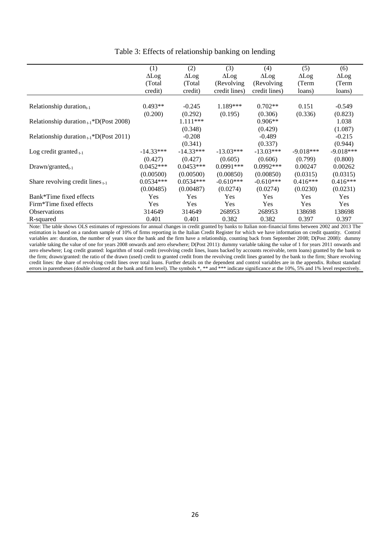|                                              | (1)          | (2)          | (3)           | (4)           | (5)          | (6)          |
|----------------------------------------------|--------------|--------------|---------------|---------------|--------------|--------------|
|                                              | $\Delta$ Log | $\Delta$ Log | $\Delta$ Log  | $\Delta$ Log  | $\Delta$ Log | $\Delta$ Log |
|                                              | (Total)      | (Total)      | (Revolving)   | (Revolving)   | (Term        | (Term        |
|                                              | credit)      | credit)      | credit lines) | credit lines) | loans)       | loans)       |
|                                              |              |              |               |               |              |              |
| Relationship duration $_{t-1}$               | $0.493**$    | $-0.245$     | 1.189***      | $0.702**$     | 0.151        | $-0.549$     |
|                                              | (0.200)      | (0.292)      | (0.195)       | (0.306)       | (0.336)      | (0.823)      |
| Relationship duration $_{t-1}$ *D(Post 2008) |              | 1.111***     |               | $0.906**$     |              | 1.038        |
|                                              |              | (0.348)      |               | (0.429)       |              | (1.087)      |
| Relationship duration $_{t-1}$ *D(Post 2011) |              | $-0.208$     |               | $-0.489$      |              | $-0.215$     |
|                                              |              | (0.341)      |               | (0.337)       |              | (0.944)      |
| Log credit granted $_{t-1}$                  | $-14.33***$  | $-14.33***$  | $-13.03***$   | $-13.03***$   | $-9.018***$  | $-9.018***$  |
|                                              | (0.427)      | (0.427)      | (0.605)       | (0.606)       | (0.799)      | (0.800)      |
| $Drawn/granted_{t-1}$                        | $0.0452***$  | $0.0453***$  | $0.0991***$   | $0.0992***$   | 0.00247      | 0.00262      |
|                                              | (0.00500)    | (0.00500)    | (0.00850)     | (0.00850)     | (0.0315)     | (0.0315)     |
| Share revolving credit lines $_{t-1}$        | $0.0534***$  | $0.0534***$  | $-0.610***$   | $-0.610***$   | $0.416***$   | $0.416***$   |
|                                              | (0.00485)    | (0.00487)    | (0.0274)      | (0.0274)      | (0.0230)     | (0.0231)     |
| Bank*Time fixed effects                      | <b>Yes</b>   | <b>Yes</b>   | Yes           | Yes           | <b>Yes</b>   | <b>Yes</b>   |
| Firm*Time fixed effects                      | <b>Yes</b>   | <b>Yes</b>   | <b>Yes</b>    | Yes           | <b>Yes</b>   | <b>Yes</b>   |
| <b>Observations</b>                          | 314649       | 314649       | 268953        | 268953        | 138698       | 138698       |
| R-squared                                    | 0.401        | 0.401        | 0.382         | 0.382         | 0.397        | 0.397        |

### Table 3: Effects of relationship banking on lending

Note: The table shows OLS estimates of regressions for annual changes in credit granted by banks to Italian non-financial firms between 2002 and 2013 The estimation is based on a random sample of 10% of firms reporting in the Italian Credit Register for which we have information on credit quantity. Control variables are: duration, the number of years since the bank and the firm have a relationship, counting back from September 2008; D(Post 2008): dummy variable taking the value of one for years 2008 onwards and zero elsewhere; D(Post 2011): dummy variable taking the value of 1 for years 2011 onwards and zero elsewhere; Log credit granted: logarithm of total credit (revolving credit lines, loans backed by accounts receivable, term loans) granted by the bank to the firm; drawn/granted: the ratio of the drawn (used) credit to granted credit from the revolving credit lines granted by the bank to the firm; Share revolving credit lines: the share of revolving credit lines over total loans. Further details on the dependent and control variables are in the appendix. Robust standard errors in parentheses (double clustered at the bank and firm level). The symbols \*, \*\* and \*\*\* indicate significance at the 10%, 5% and 1% level respectively.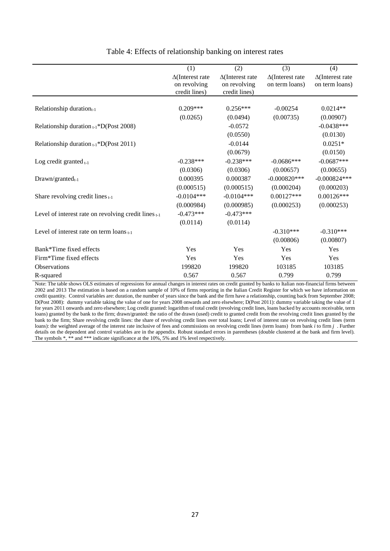|                                                           | (1)                     | (2)                     | (3)                     | (4)                     |
|-----------------------------------------------------------|-------------------------|-------------------------|-------------------------|-------------------------|
|                                                           | $\Delta$ (Interest rate | $\Delta$ (Interest rate | $\Delta$ (Interest rate | $\Delta$ (Interest rate |
|                                                           | on revolving            | on revolving            | on term loans)          | on term loans)          |
|                                                           | credit lines)           | credit lines)           |                         |                         |
|                                                           |                         |                         |                         |                         |
| Relationship duration $_{t-1}$                            | $0.209***$              | $0.256***$              | $-0.00254$              | $0.0214**$              |
|                                                           | (0.0265)                | (0.0494)                | (0.00735)               | (0.00907)               |
| Relationship duration $_{t-1}$ *D(Post 2008)              |                         | $-0.0572$               |                         | $-0.0438***$            |
|                                                           |                         | (0.0550)                |                         | (0.0130)                |
| Relationship duration $_{t-1}$ *D(Post 2011)              |                         | $-0.0144$               |                         | $0.0251*$               |
|                                                           |                         | (0.0679)                |                         | (0.0150)                |
| Log credit granted $_{t-1}$                               | $-0.238***$             | $-0.238***$             | $-0.0686***$            | $-0.0687***$            |
|                                                           | (0.0306)                | (0.0306)                | (0.00657)               | (0.00655)               |
| $Drawn/granted_{t-1}$                                     | 0.000395                | 0.000387                | $-0.000820***$          | $-0.000824***$          |
|                                                           | (0.000515)              | (0.000515)              | (0.000204)              | (0.000203)              |
| Share revolving credit lines $t-1$                        | $-0.0104***$            | $-0.0104***$            | $0.00127***$            | $0.00126***$            |
|                                                           | (0.000984)              | (0.000985)              | (0.000253)              | (0.000253)              |
| Level of interest rate on revolving credit lines $_{t-1}$ | $-0.473***$             | $-0.473***$             |                         |                         |
|                                                           | (0.0114)                | (0.0114)                |                         |                         |
| Level of interest rate on term loans $_{t-1}$             |                         |                         | $-0.310***$             | $-0.310***$             |
|                                                           |                         |                         | (0.00806)               | (0.00807)               |
| Bank*Time fixed effects                                   | Yes                     | Yes                     | Yes                     | Yes                     |
| Firm*Time fixed effects                                   | Yes                     | Yes                     | Yes                     | Yes                     |
| <b>Observations</b>                                       | 199820                  | 199820                  | 103185                  | 103185                  |
| R-squared                                                 | 0.567                   | 0.567                   | 0.799                   | 0.799                   |

### Table 4: Effects of relationship banking on interest rates

Note: The table shows OLS estimates of regressions for annual changes in interest rates on credit granted by banks to Italian non-financial firms between 2002 and 2013 The estimation is based on a random sample of 10% of firms reporting in the Italian Credit Register for which we have information on credit quantity. Control variables are: duration, the number of years since the bank and the firm have a relationship, counting back from September 2008; D(Post 2008): dummy variable taking the value of one for years 2008 onwards and zero elsewhere; D(Post 2011): dummy variable taking the value of 1 for years 2011 onwards and zero elsewhere; Log credit granted: logarithm of total credit (revolving credit lines, loans backed by accounts receivable, term loans) granted by the bank to the firm; drawn/granted: the ratio of the drawn (used) credit to granted credit from the revolving credit lines granted by the bank to the firm; Share revolving credit lines: the share of revolving credit lines over total loans; Level of interest rate on revolving credit lines (term loans): the weighted average of the interest rate inclusive of fees and commissions on revolving credit lines (term loans) from bank *i* to firm *j* . Further details on the dependent and control variables are in the appendix. Robust standard errors in parentheses (double clustered at the bank and firm level). The symbols \*, \*\* and \*\*\* indicate significance at the 10%, 5% and 1% level respectively.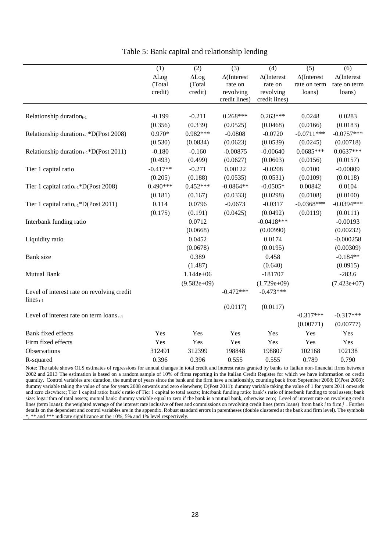|                                                   | (1)        | (2)           | (3)                | (4)                | (5)                | (6)                |
|---------------------------------------------------|------------|---------------|--------------------|--------------------|--------------------|--------------------|
|                                                   | ALog       | ALog          | $\Delta$ (Interest | $\Delta$ (Interest | $\Delta$ (Interest | $\Delta$ (Interest |
|                                                   | (Total     | (Total        | rate on            | rate on            | rate on term       | rate on term       |
|                                                   | credit)    | credit)       | revolving          | revolving          | loans)             | loans)             |
|                                                   |            |               | credit lines)      | credit lines)      |                    |                    |
| Relationship duration $_{t-1}$                    | $-0.199$   | $-0.211$      | $0.268***$         | $0.263***$         | 0.0248             | 0.0283             |
|                                                   | (0.356)    | (0.339)       | (0.0525)           | (0.0468)           | (0.0166)           | (0.0183)           |
|                                                   | $0.970*$   | 0.982***      | $-0.0808$          | $-0.0720$          | $-0.0711***$       | $-0.0757***$       |
| Relationship duration $_{t-1}$ *D(Post 2008)      |            |               |                    |                    |                    |                    |
|                                                   | (0.530)    | (0.0834)      | (0.0623)           | (0.0539)           | (0.0245)           | (0.00718)          |
| Relationship duration $_{t-1}$ *D(Post 2011)      | $-0.180$   | $-0.160$      | $-0.00875$         | $-0.00640$         | $0.0685***$        | $0.0637***$        |
|                                                   | (0.493)    | (0.499)       | (0.0627)           | (0.0603)           | (0.0156)           | (0.0157)           |
| Tier 1 capital ratio                              | $-0.417**$ | $-0.271$      | 0.00122            | $-0.0208$          | 0.0100             | $-0.00809$         |
|                                                   | (0.205)    | (0.188)       | (0.0535)           | (0.0531)           | (0.0109)           | (0.0118)           |
| Tier 1 capital ratio <sub>t-1</sub> *D(Post 2008) | $0.490***$ | $0.452***$    | $-0.0864**$        | $-0.0505*$         | 0.00842            | 0.0104             |
|                                                   | (0.181)    | (0.167)       | (0.0333)           | (0.0298)           | (0.0108)           | (0.0100)           |
| Tier 1 capital ratio <sub>t-1</sub> *D(Post 2011) | 0.114      | 0.0796        | $-0.0673$          | $-0.0317$          | $-0.0368***$       | $-0.0394***$       |
|                                                   | (0.175)    | (0.191)       | (0.0425)           | (0.0492)           | (0.0119)           | (0.0111)           |
| Interbank funding ratio                           |            | 0.0712        |                    | $-0.0418***$       |                    | $-0.00193$         |
|                                                   |            | (0.0668)      |                    | (0.00990)          |                    | (0.00232)          |
| Liquidity ratio                                   |            | 0.0452        |                    | 0.0174             |                    | $-0.000258$        |
|                                                   |            | (0.0678)      |                    | (0.0195)           |                    | (0.00309)          |
| Bank size                                         |            | 0.389         |                    | 0.458              |                    | $-0.184**$         |
|                                                   |            | (1.487)       |                    | (0.640)            |                    | (0.0915)           |
| <b>Mutual Bank</b>                                |            | $1.144e+06$   |                    | $-181707$          |                    | $-283.6$           |
|                                                   |            | $(9.582e+09)$ |                    | $(1.729e+09)$      |                    | $(7.423e+07)$      |
| Level of interest rate on revolving credit        |            |               | $-0.472***$        | $-0.473***$        |                    |                    |
| lines $_{t-1}$                                    |            |               |                    |                    |                    |                    |
|                                                   |            |               | (0.0117)           | (0.0117)           |                    |                    |
| Level of interest rate on term loans $_{t-1}$     |            |               |                    |                    | $-0.317***$        | $-0.317***$        |
|                                                   |            |               |                    |                    | (0.00771)          | (0.00777)          |
| Bank fixed effects                                | Yes        | Yes           | Yes                | Yes                | Yes                | Yes                |
| Firm fixed effects                                | Yes        | Yes           | Yes                | Yes                | Yes                | Yes                |
| Observations                                      | 312491     | 312399        | 198848             | 198807             | 102168             | 102138             |
| R-squared                                         | 0.396      | 0.396         | 0.555              | 0.555              | 0.789              | 0.790              |

Table 5: Bank capital and relationship lending

Note: The table shows OLS estimates of regressions for annual changes in total credit and interest rates granted by banks to Italian non-financial firms between 2002 and 2013 The estimation is based on a random sample of 10% of firms reporting in the Italian Credit Register for which we have information on credit quantity. Control variables are: duration, the number of years since the bank and the firm have a relationship, counting back from September 2008; D(Post 2008): dummy variable taking the value of one for years 2008 onwards and zero elsewhere; D(Post 2011): dummy variable taking the value of 1 for years 2011 onwards and zero elsewhere; Tier 1 capital ratio: bank's ratio of Tier 1 capital to total assets; Interbank funding ratio: bank's ratio of interbank funding to total assets; bank size: logarithm of total assets; mutual bank: dummy variable equal to zero if the bank is a mutual bank, otherwise zero; Level of interest rate on revolving credit lines (term loans): the weighted average of the interest rate inclusive of fees and commissions on revolving credit lines (term loans) from bank *i* to firm *j* . Further details on the dependent and control variables are in the appendix. Robust standard errors in parentheses (double clustered at the bank and firm level). The symbols \*, \*\* and \*\*\* indicate significance at the 10%, 5% and 1% level respectively.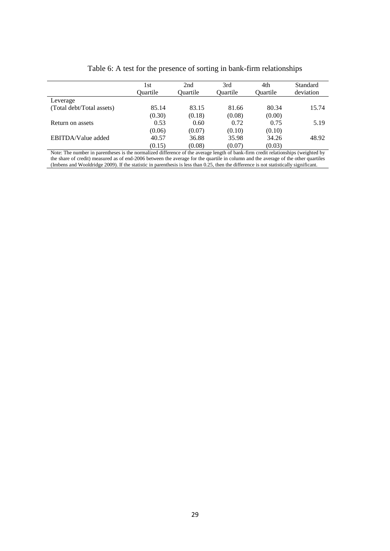|                           | 1st      | 2nd             | 3rd             | 4th      | Standard  |
|---------------------------|----------|-----------------|-----------------|----------|-----------|
|                           | Ouartile | <b>Ouartile</b> | <b>Ouartile</b> | Ouartile | deviation |
| Leverage                  |          |                 |                 |          |           |
| (Total debt/Total assets) | 85.14    | 83.15           | 81.66           | 80.34    | 15.74     |
|                           | (0.30)   | (0.18)          | (0.08)          | (0.00)   |           |
| Return on assets          | 0.53     | 0.60            | 0.72            | 0.75     | 5.19      |
|                           | (0.06)   | (0.07)          | (0.10)          | (0.10)   |           |
| EBITDA/Value added        | 40.57    | 36.88           | 35.98           | 34.26    | 48.92     |
|                           | (0.15)   | (0.08)          | (0.07)          | (0.03)   |           |

### Table 6: A test for the presence of sorting in bank-firm relationships

Note: The number in parentheses is the normalized difference of the average length of bank-firm credit relationships (weighted by the share of credit) measured as of end-2006 between the average for the quartile in column and the average of the other quartiles (Imbens and Wooldridge 2009). If the statistic in parenthesis is less than 0.25, then the difference is not statistically significant.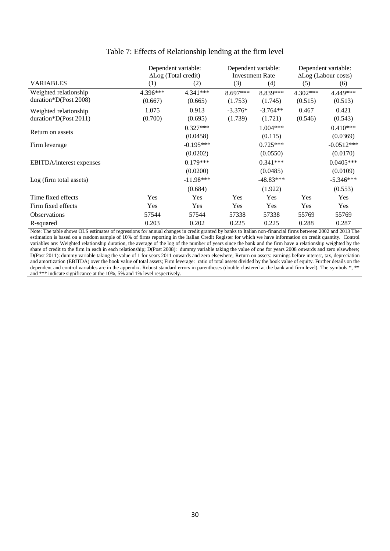|                                  | Dependent variable:<br>$\Delta$ Log (Total credit) |             |            | Dependent variable:<br><b>Investment Rate</b> |          | Dependent variable:<br>$\Delta$ Log (Labour costs) |
|----------------------------------|----------------------------------------------------|-------------|------------|-----------------------------------------------|----------|----------------------------------------------------|
| <b>VARIABLES</b>                 | (1)                                                | (2)         | (3)        | (4)                                           | (5)      | (6)                                                |
| Weighted relationship            | $4.396***$                                         | 4.341***    | $8.697***$ | 8.839***                                      | 4.302*** | 4.449***                                           |
| duration*D(Post 2008)            | (0.667)                                            | (0.665)     | (1.753)    | (1.745)                                       | (0.515)  | (0.513)                                            |
| Weighted relationship            | 1.075                                              | 0.913       | $-3.376*$  | $-3.764**$                                    | 0.467    | 0.421                                              |
| duration*D(Post $2011$ )         | (0.700)                                            | (0.695)     | (1.739)    | (1.721)                                       | (0.546)  | (0.543)                                            |
|                                  |                                                    | $0.327***$  |            | $1.004***$                                    |          | $0.410***$                                         |
| Return on assets                 |                                                    | (0.0458)    |            | (0.115)                                       |          | (0.0369)                                           |
| Firm leverage                    |                                                    | $-0.195***$ |            | $0.725***$                                    |          | $-0.0512***$                                       |
|                                  |                                                    | (0.0202)    |            | (0.0550)                                      |          | (0.0170)                                           |
| <b>EBITDA</b> /interest expenses |                                                    | $0.179***$  |            | $0.341***$                                    |          | $0.0405***$                                        |
|                                  |                                                    | (0.0200)    |            | (0.0485)                                      |          | (0.0109)                                           |
| Log (firm total assets)          |                                                    | $-11.98***$ |            | $-48.83***$                                   |          | $-5.346***$                                        |
|                                  |                                                    | (0.684)     |            | (1.922)                                       |          | (0.553)                                            |
| Time fixed effects               | Yes                                                | Yes         | <b>Yes</b> | <b>Yes</b>                                    | Yes      | Yes                                                |
| Firm fixed effects               | Yes                                                | Yes         | Yes        | Yes                                           | Yes      | Yes                                                |
| <b>Observations</b>              | 57544                                              | 57544       | 57338      | 57338                                         | 55769    | 55769                                              |
| R-squared                        | 0.203                                              | 0.202       | 0.225      | 0.225                                         | 0.288    | 0.287                                              |

### Table 7: Effects of Relationship lending at the firm level

Note: The table shows OLS estimates of regressions for annual changes in credit granted by banks to Italian non-financial firms between 2002 and 2013 The estimation is based on a random sample of 10% of firms reporting in the Italian Credit Register for which we have information on credit quantity. Control variables are: Weighted relationship duration, the average of the log of the number of years since the bank and the firm have a relationship weighted by the share of credit to the firm in each in each relationship; D(Post 2008): dummy variable taking the value of one for years 2008 onwards and zero elsewhere; D(Post 2011): dummy variable taking the value of 1 for years 2011 onwards and zero elsewhere; Return on assets: earnings before interest, tax, depreciation and amortization (EBITDA) over the book value of total assets; Firm leverage: ratio of total assets divided by the book value of equity. Further details on the dependent and control variables are in the appendix. Robust standard errors in parentheses (double clustered at the bank and firm level). The symbols \*, \*\* and \*\*\* indicate significance at the 10%, 5% and 1% level respectively.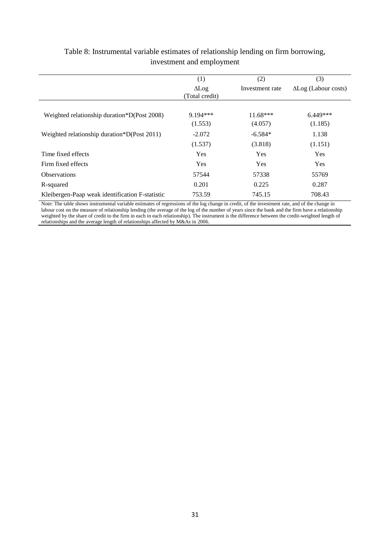|                                                 | (1)            | (2)             | (3)                         |
|-------------------------------------------------|----------------|-----------------|-----------------------------|
|                                                 | $\Delta$ Log   | Investment rate | $\Delta$ Log (Labour costs) |
|                                                 | (Total credit) |                 |                             |
| Weighted relationship duration*D(Post 2008)     | $9.194***$     | $11.68***$      | $6.449***$                  |
|                                                 | (1.553)        | (4.057)         | (1.185)                     |
| Weighted relationship duration*D(Post 2011)     | $-2.072$       | $-6.584*$       | 1.138                       |
|                                                 | (1.537)        | (3.818)         | (1.151)                     |
| Time fixed effects                              | Yes            | Yes             | Yes                         |
| Firm fixed effects                              | Yes            | Yes             | Yes                         |
| <b>Observations</b>                             | 57544          | 57338           | 55769                       |
| R-squared                                       | 0.201          | 0.225           | 0.287                       |
| Kleibergen-Paap weak identification F-statistic | 753.59         | 745.15          | 708.43                      |

## Table 8: Instrumental variable estimates of relationship lending on firm borrowing, investment and employment

Note: The table shows instrumental variable estimates of regressions of the log change in credit, of the investment rate, and of the change in labour cost on the measure of relationship lending (the average of the log of the number of years since the bank and the firm have a relationship weighted by the share of credit to the firm in each in each relationship). The instrument is the difference between the credit-weighted length of relationships and the average length of relationships affected by M&As in 2006.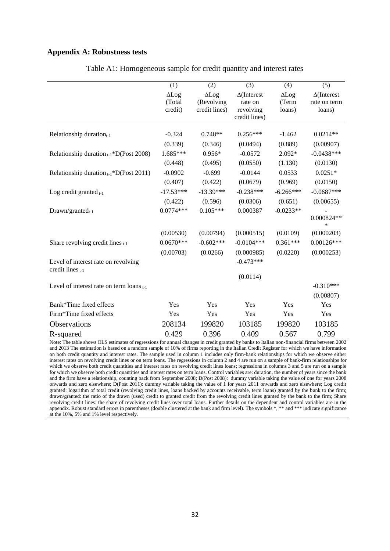#### **Appendix A: Robustness tests**

|                                                         | (1)         | (2)           | (3)                | (4)         | (5)                    |
|---------------------------------------------------------|-------------|---------------|--------------------|-------------|------------------------|
|                                                         | ALog        | $\Delta$ Log  | $\Delta$ (Interest | ALog        | $\Delta$ (Interest     |
|                                                         | (Total      | (Revolving    | rate on            | (Term       | rate on term           |
|                                                         | credit)     | credit lines) | revolving          | loans)      | loans)                 |
|                                                         |             |               | credit lines)      |             |                        |
| Relationship duration <sub>t-1</sub>                    | $-0.324$    | $0.748**$     | $0.256***$         | $-1.462$    | $0.0214**$             |
|                                                         | (0.339)     | (0.346)       | (0.0494)           | (0.889)     | (0.00907)              |
| Relationship duration $_{t-1}$ *D(Post 2008)            | 1.685***    | $0.956*$      | $-0.0572$          | $2.092*$    | $-0.0438***$           |
|                                                         | (0.448)     | (0.495)       | (0.0550)           | (1.130)     | (0.0130)               |
| Relationship duration $_{t-1}$ *D(Post 2011)            | $-0.0902$   | $-0.699$      | $-0.0144$          | 0.0533      | $0.0251*$              |
|                                                         | (0.407)     | (0.422)       | (0.0679)           | (0.969)     | (0.0150)               |
| Log credit granted $_{t-1}$                             | $-17.53***$ | $-13.39***$   | $-0.238***$        | $-6.266***$ | $-0.0687***$           |
|                                                         | (0.422)     | (0.596)       | (0.0306)           | (0.651)     | (0.00655)              |
| $Draw n/granted_{t-1}$                                  | $0.0774***$ | $0.105***$    | 0.000387           | $-0.0233**$ |                        |
|                                                         |             |               |                    |             | $0.000824**$<br>$\ast$ |
|                                                         | (0.00530)   | (0.00794)     | (0.000515)         | (0.0109)    | (0.000203)             |
| Share revolving credit lines $t-1$                      | $0.0670***$ | $-0.602***$   | $-0.0104***$       | $0.361***$  | $0.00126***$           |
|                                                         | (0.00703)   | (0.0266)      | (0.000985)         | (0.0220)    | (0.000253)             |
| Level of interest rate on revolving<br>credit lines t-1 |             |               | $-0.473***$        |             |                        |
|                                                         |             |               | (0.0114)           |             |                        |
| Level of interest rate on term loans $_{t-1}$           |             |               |                    |             | $-0.310***$            |
|                                                         |             |               |                    |             | (0.00807)              |
| Bank*Time fixed effects                                 | Yes         | Yes           | Yes                | Yes         | Yes                    |
| Firm*Time fixed effects                                 | Yes         | Yes           | Yes                | Yes         | Yes                    |
| Observations                                            | 208134      | 199820        | 103185             | 199820      | 103185                 |
| R-squared                                               | 0.429       | 0.396         | 0.409              | 0.567       | 0.799                  |

Table A1: Homogeneous sample for credit quantity and interest rates

Note: The table shows OLS estimates of regressions for annual changes in credit granted by banks to Italian non-financial firms between 2002 and 2013 The estimation is based on a random sample of 10% of firms reporting in the Italian Credit Register for which we have information on both credit quantity and interest rates. The sample used in column 1 includes only firm-bank relationships for which we observe either interest rates on revolving credit lines or on term loans. The regressions in column 2 and 4 are run on a sample of bank-firm relationships for which we observe both credit quantities and interest rates on revolving credit lines loans; regressions in columns 3 and 5 are run on a sample for which we observe both credit quantities and interest rates on term loans. Control variables are: duration, the number of years since the bank and the firm have a relationship, counting back from September 2008; D(Post 2008): dummy variable taking the value of one for years 2008 onwards and zero elsewhere; D(Post 2011): dummy variable taking the value of 1 for years 2011 onwards and zero elsewhere; Log credit granted: logarithm of total credit (revolving credit lines, loans backed by accounts receivable, term loans) granted by the bank to the firm; drawn/granted: the ratio of the drawn (used) credit to granted credit from the revolving credit lines granted by the bank to the firm; Share revolving credit lines: the share of revolving credit lines over total loans. Further details on the dependent and control variables are in the appendix. Robust standard errors in parentheses (double clustered at the bank and firm level). The symbols \*, \*\* and \*\*\* indicate significance at the 10%, 5% and 1% level respectively.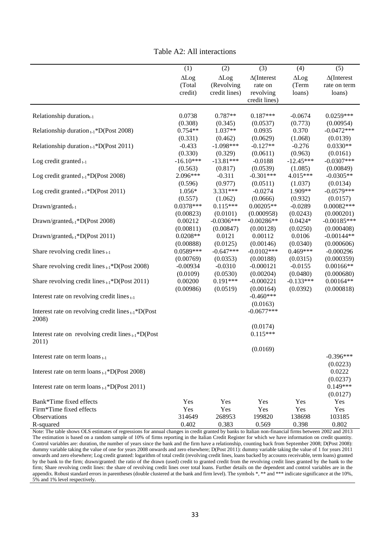|                                                          | (1)          | (2)           | (3)                | (4)          | (5)                |
|----------------------------------------------------------|--------------|---------------|--------------------|--------------|--------------------|
|                                                          | $\Delta$ Log | ALog          | $\Delta$ (Interest | $\Delta$ Log | $\Delta$ (Interest |
|                                                          | (Total       | (Revolving    | rate on            | (Term        | rate on term       |
|                                                          | credit)      | credit lines) | revolving          | loans)       | loans)             |
|                                                          |              |               | credit lines)      |              |                    |
|                                                          |              |               |                    |              |                    |
| Relationship duration <sub>t-1</sub>                     | 0.0738       | 0.787**       | $0.187***$         | $-0.0674$    | $0.0259***$        |
|                                                          | (0.308)      | (0.345)       | (0.0537)           | (0.773)      | (0.00954)          |
| Relationship duration $_{t-1}$ *D(Post 2008)             | $0.754**$    | 1.037**       | 0.0935             | 0.370        | $-0.0472***$       |
|                                                          | (0.331)      | (0.462)       | (0.0629)           | (1.068)      | (0.0139)           |
| Relationship duration $_{t-1}$ *D(Post 2011)             | $-0.433$     | $-1.098***$   | $-0.127**$         | $-0.276$     | $0.0330**$         |
|                                                          | (0.330)      | (0.329)       | (0.0611)           | (0.963)      | (0.0161)           |
| Log credit granted $_{t-1}$                              | $-16.10***$  | $-13.81***$   | $-0.0188$          | $-12.45***$  | $-0.0307***$       |
|                                                          | (0.563)      | (0.817)       | (0.0539)           | (1.085)      | (0.00849)          |
| Log credit granted $_{t-1}$ *D(Post 2008)                | 2.096***     | $-0.311$      | $-0.301***$        | 4.015***     | $-0.0305**$        |
|                                                          | (0.596)      | (0.977)       | (0.0511)           | (1.037)      | (0.0134)           |
| Log credit granted $_{t-1}$ *D(Post 2011)                | 1.056*       | 3.331***      | $-0.0274$          | 1.909**      | $-0.0579***$       |
|                                                          | (0.557)      | (1.062)       | (0.0666)           | (0.932)      | (0.0157)           |
| $Draw n/granted_{t-1}$                                   | $0.0378***$  | $0.115***$    | $0.00205**$        | $-0.0289$    | $0.00082***$       |
|                                                          | (0.00823)    | (0.0101)      | (0.000958)         | (0.0243)     | (0.000201)         |
| Drawn/granted $_{t-1}$ *D(Post 2008)                     | 0.00212      | $-0.0306***$  | $-0.00286**$       | $0.0424*$    | $-0.00185***$      |
|                                                          | (0.00811)    | (0.00847)     | (0.00128)          | (0.0250)     | (0.000408)         |
| Drawn/grantedt-1*D(Post 2011)                            | $0.0208**$   | 0.0121        | 0.00112            | 0.0106       | $-0.00144**$       |
|                                                          | (0.00888)    | (0.0125)      | (0.00146)          | (0.0340)     | (0.000606)         |
| Share revolving credit lines $_{t-1}$                    | 0.0589***    | $-0.647***$   | $-0.0102***$       | $0.469***$   | $-0.000296$        |
|                                                          | (0.00769)    | (0.0353)      | (0.00188)          | (0.0315)     | (0.000359)         |
| Share revolving credit lines $_{t-1}$ *D(Post 2008)      | $-0.00934$   | $-0.0310$     | $-0.000121$        | $-0.0155$    | $0.00166**$        |
|                                                          | (0.0109)     | (0.0530)      | (0.00204)          | (0.0480)     | (0.000680)         |
| Share revolving credit lines $_{t-1}$ *D(Post 2011)      | 0.00200      | $0.191***$    | $-0.000221$        | $-0.133***$  | $0.00164**$        |
|                                                          | (0.00986)    | (0.0519)      | (0.00164)          | (0.0392)     | (0.000818)         |
| Interest rate on revolving credit lines $_{t-1}$         |              |               | $-0.460***$        |              |                    |
|                                                          |              |               | (0.0163)           |              |                    |
| Interest rate on revolving credit lines $_{t-1}$ *D(Post |              |               | $-0.0677***$       |              |                    |
| 2008)                                                    |              |               |                    |              |                    |
|                                                          |              |               | (0.0174)           |              |                    |
| Interest rate on revolving credit lines $_{t-1}$ *D(Post |              |               | $0.115***$         |              |                    |
| 2011)                                                    |              |               |                    |              |                    |
|                                                          |              |               | (0.0169)           |              |                    |
| Interest rate on term $\log_{t-1}$                       |              |               |                    |              | $-0.396***$        |
|                                                          |              |               |                    |              | (0.0223)           |
| Interest rate on term $\text{loans}_{t-1}$ *D(Post 2008) |              |               |                    |              | 0.0222             |
|                                                          |              |               |                    |              | (0.0237)           |
| Interest rate on term $\text{loans}_{t-1}$ *D(Post 2011) |              |               |                    |              | $0.149***$         |
|                                                          |              |               |                    |              | (0.0127)           |
| Bank*Time fixed effects                                  | Yes          | Yes           | Yes                | Yes          | Yes                |
| Firm*Time fixed effects                                  | Yes          | Yes           | Yes                | Yes          | Yes                |
| Observations                                             | 314649       | 268953        | 199820             | 138698       | 103185             |
| R-squared                                                | 0.402        | 0.383         | 0.569              | 0.398        | 0.802              |
|                                                          |              |               |                    |              |                    |

Note: The table shows OLS estimates of regressions for annual changes in credit granted by banks to Italian non-financial firms between 2002 and 2013 The estimation is based on a random sample of 10% of firms reporting in the Italian Credit Register for which we have information on credit quantity. Control variables are: duration, the number of years since the bank and the firm have a relationship, counting back from September 2008; D(Post 2008): dummy variable taking the value of one for years 2008 onwards and zero elsewhere; D(Post 2011): dummy variable taking the value of 1 for years 2011 onwards and zero elsewhere; Log credit granted: logarithm of total credit (revolving credit lines, loans backed by accounts receivable, term loans) granted by the bank to the firm; drawn/granted: the ratio of the drawn (used) credit to granted credit from the revolving credit lines granted by the bank to the firm; Share revolving credit lines: the share of revolving credit lines over total loans. Further details on the dependent and control variables are in the appendix. Robust standard errors in parentheses (double clustered at the bank and firm level). The symbols  $*, **$  and  $***$  indicate significance at the 10%, 5% and 1% level respectively.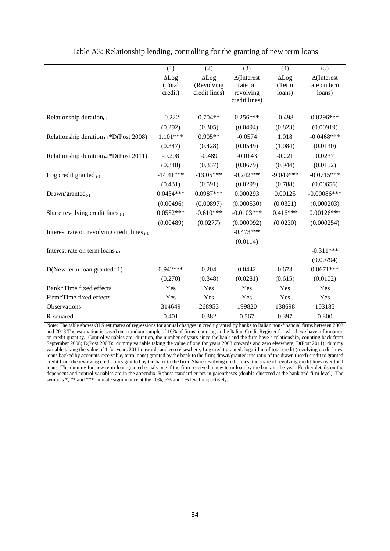|                                              | (1)          | (2)           | (3)                        | (4)          | (5)                |
|----------------------------------------------|--------------|---------------|----------------------------|--------------|--------------------|
|                                              | $\Delta$ Log | ALog          | $\Delta$ (Interest         | $\Delta$ Log | $\Delta$ (Interest |
|                                              | (Total       | (Revolving    | rate on                    | (Term        | rate on term       |
|                                              | credit)      | credit lines) | revolving<br>credit lines) | loans)       | loans)             |
|                                              |              |               |                            |              |                    |
| Relationship duration <sub>t-1</sub>         | $-0.222$     | $0.704**$     | $0.256***$                 | $-0.498$     | $0.0296***$        |
|                                              | (0.292)      | (0.305)       | (0.0494)                   | (0.823)      | (0.00919)          |
| Relationship duration $_{t-1}$ *D(Post 2008) | $1.101***$   | $0.905**$     | $-0.0574$                  | 1.018        | $-0.0468***$       |
|                                              | (0.347)      | (0.428)       | (0.0549)                   | (1.084)      | (0.0130)           |
| Relationship duration $_{t-1}$ *D(Post 2011) | $-0.208$     | $-0.489$      | $-0.0143$                  | $-0.221$     | 0.0237             |
|                                              | (0.340)      | (0.337)       | (0.0679)                   | (0.944)      | (0.0152)           |
| Log credit granted $_{t-1}$                  | $-14.41***$  | $-13.05***$   | $-0.242***$                | $-9.049***$  | $-0.0715***$       |
|                                              | (0.431)      | (0.591)       | (0.0299)                   | (0.788)      | (0.00656)          |
| $Draw n/granted_{t-1}$                       | $0.0434***$  | $0.0987***$   | 0.000293                   | 0.00125      | $-0.00086***$      |
|                                              | (0.00496)    | (0.00897)     | (0.000530)                 | (0.0321)     | (0.000203)         |
| Share revolving credit lines $t-1$           | $0.0552***$  | $-0.610***$   | $-0.0103***$               | $0.416***$   | $0.00126***$       |
|                                              | (0.00489)    | (0.0277)      | (0.000992)                 | (0.0230)     | (0.000254)         |
| Interest rate on revolving credit lines t-1  |              |               | $-0.473***$                |              |                    |
|                                              |              |               | (0.0114)                   |              |                    |
| Interest rate on term loans t-1              |              |               |                            |              | $-0.311***$        |
|                                              |              |               |                            |              | (0.00794)          |
| $D(New term loan granted=1)$                 | $0.942***$   | 0.204         | 0.0442                     | 0.673        | $0.0671***$        |
|                                              | (0.270)      | (0.348)       | (0.0281)                   | (0.615)      | (0.0102)           |
| Bank*Time fixed effects                      | Yes          | Yes           | Yes                        | Yes          | Yes                |
| Firm*Time fixed effects                      | Yes          | Yes           | Yes                        | Yes          | Yes                |
| Observations                                 | 314649       | 268953        | 199820                     | 138698       | 103185             |
| R-squared                                    | 0.401        | 0.382         | 0.567                      | 0.397        | 0.800              |

Table A3: Relationship lending, controlling for the granting of new term loans

Note: The table shows OLS estimates of regressions for annual changes in credit granted by banks to Italian non-financial firms between 2002 and 2013 The estimation is based on a random sample of 10% of firms reporting in the Italian Credit Register for which we have information on credit quantity. Control variables are: duration, the number of years since the bank and the firm have a relationship, counting back from September 2008; D(Post 2008): dummy variable taking the value of one for years 2008 onwards and zero elsewhere; D(Post 2011): dummy variable taking the value of 1 for years 2011 onwards and zero elsewhere; Log credit granted: logarithm of total credit (revolving credit lines, loans backed by accounts receivable, term loans) granted by the bank to the firm; drawn/granted: the ratio of the drawn (used) credit to granted credit from the revolving credit lines granted by the bank to the firm; Share revolving credit lines: the share of revolving credit lines over total loans. The dummy for new term loan granted equals one if the firm received a new term loan by the bank in the year. Further details on the dependent and control variables are in the appendix. Robust standard errors in parentheses (double clustered at the bank and firm level). The symbols \*, \*\* and \*\*\* indicate significance at the 10%, 5% and 1% level respectively.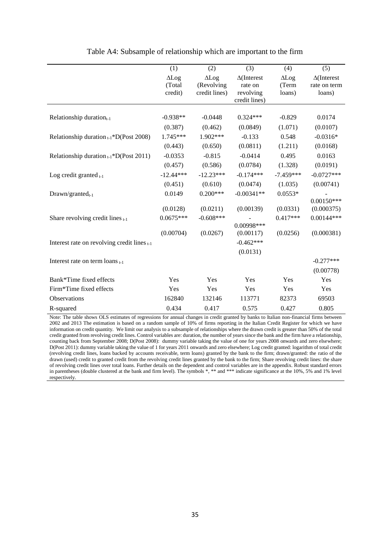|                                                  | (1)                               | (2)                                         | (3)                                                         | (4)                             | (5)                                          |
|--------------------------------------------------|-----------------------------------|---------------------------------------------|-------------------------------------------------------------|---------------------------------|----------------------------------------------|
|                                                  | $\Delta$ Log<br>(Total<br>credit) | $\Delta$ Log<br>(Revolving<br>credit lines) | $\Delta$ (Interest<br>rate on<br>revolving<br>credit lines) | $\Delta$ Log<br>(Term<br>loans) | $\Delta$ (Interest<br>rate on term<br>loans) |
|                                                  |                                   |                                             |                                                             |                                 |                                              |
| Relationship duration <sub>t-1</sub>             | $-0.938**$                        | $-0.0448$                                   | $0.324***$                                                  | $-0.829$                        | 0.0174                                       |
|                                                  | (0.387)                           | (0.462)                                     | (0.0849)                                                    | (1.071)                         | (0.0107)                                     |
| Relationship duration $_{t-1}$ *D(Post 2008)     | 1.745***                          | 1.902***                                    | $-0.133$                                                    | 0.548                           | $-0.0316*$                                   |
|                                                  | (0.443)                           | (0.650)                                     | (0.0811)                                                    | (1.211)                         | (0.0168)                                     |
| Relationship duration $_{t-1}$ *D(Post 2011)     | $-0.0353$                         | $-0.815$                                    | $-0.0414$                                                   | 0.495                           | 0.0163                                       |
|                                                  | (0.457)                           | (0.586)                                     | (0.0784)                                                    | (1.328)                         | (0.0191)                                     |
| Log credit granted $_{t-1}$                      | $-12.44***$                       | $-12.23***$                                 | $-0.174***$                                                 | $-7.459***$                     | $-0.0727***$                                 |
|                                                  | (0.451)                           | (0.610)                                     | (0.0474)                                                    | (1.035)                         | (0.00741)                                    |
| $Draw n/granted_{t-1}$                           | 0.0149                            | $0.200***$                                  | $-0.00341**$                                                | $0.0553*$                       |                                              |
|                                                  |                                   |                                             |                                                             |                                 | $0.00150***$                                 |
|                                                  | (0.0128)                          | (0.0211)                                    | (0.00139)                                                   | (0.0331)                        | (0.000375)                                   |
| Share revolving credit lines $t-1$               | $0.0675***$                       | $-0.608***$                                 |                                                             | $0.417***$                      | $0.00144***$                                 |
|                                                  | (0.00704)                         | (0.0267)                                    | 0.00998***<br>(0.00117)                                     | (0.0256)                        | (0.000381)                                   |
|                                                  |                                   |                                             | $-0.462***$                                                 |                                 |                                              |
| Interest rate on revolving credit lines $_{t-1}$ |                                   |                                             |                                                             |                                 |                                              |
|                                                  |                                   |                                             | (0.0131)                                                    |                                 |                                              |
| Interest rate on term loans $_{t-1}$             |                                   |                                             |                                                             |                                 | $-0.277***$                                  |
|                                                  |                                   |                                             |                                                             |                                 | (0.00778)                                    |
| Bank*Time fixed effects                          | Yes                               | Yes                                         | Yes                                                         | Yes                             | Yes                                          |
| Firm*Time fixed effects                          | Yes                               | Yes                                         | Yes                                                         | Yes                             | Yes                                          |
| Observations                                     | 162840                            | 132146                                      | 113771                                                      | 82373                           | 69503                                        |
| R-squared                                        | 0.434                             | 0.417                                       | 0.575                                                       | 0.427                           | 0.805                                        |

#### Table A4: Subsample of relationship which are important to the firm

Note: The table shows OLS estimates of regressions for annual changes in credit granted by banks to Italian non-financial firms between 2002 and 2013 The estimation is based on a random sample of 10% of firms reporting in the Italian Credit Register for which we have information on credit quantity. We limit our analysis to a subsample of relationships where the drawn credit is greater than 50% of the total credit granted from revolving credit lines. Control variables are: duration, the number of years since the bank and the firm have a relationship, counting back from September 2008; D(Post 2008): dummy variable taking the value of one for years 2008 onwards and zero elsewhere; D(Post 2011): dummy variable taking the value of 1 for years 2011 onwards and zero elsewhere; Log credit granted: logarithm of total credit (revolving credit lines, loans backed by accounts receivable, term loans) granted by the bank to the firm; drawn/granted: the ratio of the drawn (used) credit to granted credit from the revolving credit lines granted by the bank to the firm; Share revolving credit lines: the share of revolving credit lines over total loans. Further details on the dependent and control variables are in the appendix. Robust standard errors in parentheses (double clustered at the bank and firm level). The symbols \*, \*\* and \*\*\* indicate significance at the 10%, 5% and 1% level respectively.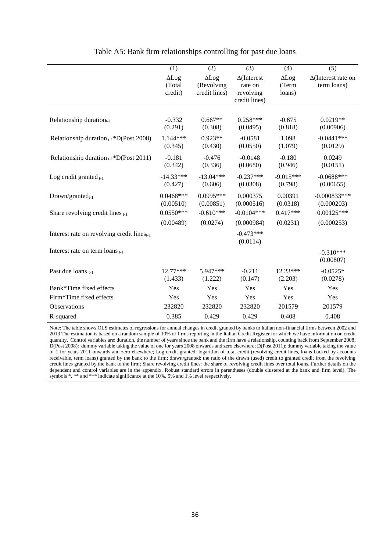|                                                        | (1)                               | (2)                                         | (3)                                                         | (4)                             | (5)                                       |
|--------------------------------------------------------|-----------------------------------|---------------------------------------------|-------------------------------------------------------------|---------------------------------|-------------------------------------------|
|                                                        | $\Delta$ Log<br>(Total<br>credit) | $\Delta$ Log<br>(Revolving<br>credit lines) | $\Delta$ (Interest<br>rate on<br>revolving<br>credit lines) | $\Delta$ Log<br>(Term<br>loans) | $\Delta$ (Interest rate on<br>term loans) |
| Relationship duration $_{t-1}$                         | $-0.332$<br>(0.291)               | $0.667**$<br>(0.308)                        | $0.258***$<br>(0.0495)                                      | $-0.675$<br>(0.818)             | $0.0219**$<br>(0.00906)                   |
| Relationship duration $_{t-1}$ *D(Post 2008)           | 1.144***<br>(0.345)               | $0.923**$<br>(0.430)                        | $-0.0581$<br>(0.0550)                                       | 1.098<br>(1.079)                | $-0.0441***$<br>(0.0129)                  |
| Relationship duration $_{t-1}$ *D(Post 2011)           | $-0.181$<br>(0.342)               | $-0.476$<br>(0.336)                         | $-0.0148$<br>(0.0680)                                       | $-0.180$<br>(0.946)             | 0.0249<br>(0.0151)                        |
| Log credit granted $_{t-1}$                            | $-14.33***$<br>(0.427)            | $-13.04***$<br>(0.606)                      | $-0.237***$<br>(0.0308)                                     | $-9.015***$<br>(0.798)          | $-0.0688***$<br>(0.00655)                 |
| $Draw n/granted_{t-1}$                                 | $0.0468***$<br>(0.00510)          | $0.0995***$<br>(0.00851)                    | 0.000375<br>(0.000516)                                      | 0.00391<br>(0.0318)             | $-0.000833***$<br>(0.000203)              |
| Share revolving credit lines $t-1$                     | $0.0550***$<br>(0.00489)          | $-0.610***$<br>(0.0274)                     | $-0.0104***$<br>(0.000984)                                  | $0.417***$<br>(0.0231)          | $0.00125***$<br>(0.000253)                |
| Interest rate on revolving credit lines <sub>t-1</sub> |                                   |                                             | $-0.473***$<br>(0.0114)                                     |                                 |                                           |
| Interest rate on term $\log_{t-1}$                     |                                   |                                             |                                                             |                                 | $-0.310***$<br>(0.00807)                  |
| Past due loans t-1                                     | $12.77***$<br>(1.433)             | 5.947***<br>(1.222)                         | $-0.211$<br>(0.147)                                         | $12.23***$<br>(2.203)           | $-0.0525*$<br>(0.0278)                    |
| Bank*Time fixed effects                                | Yes                               | Yes                                         | Yes                                                         | Yes                             | Yes                                       |
| Firm*Time fixed effects                                | Yes                               | Yes                                         | Yes                                                         | Yes                             | Yes                                       |
| Observations                                           | 232820                            | 232820                                      | 232820                                                      | 201579                          | 201579                                    |
| R-squared                                              | 0.385                             | 0.429                                       | 0.429                                                       | 0.408                           | 0.408                                     |

#### Table A5: Bank firm relationships controlling for past due loans

Note: The table shows OLS estimates of regressions for annual changes in credit granted by banks to Italian non-financial firms between 2002 and 2013 The estimation is based on a random sample of 10% of firms reporting in the Italian Credit Register for which we have information on credit quantity. Control variables are: duration, the number of years since the bank and the firm have a relationship, counting back from September 2008; D(Post 2008): dummy variable taking the value of one for years 2008 onwards and zero elsewhere; D(Post 2011): dummy variable taking the value of 1 for years 2011 onwards and zero elsewhere; Log credit granted: logarithm of total credit (revolving credit lines, loans backed by accounts receivable, term loans) granted by the bank to the firm; drawn/granted: the ratio of the drawn (used) credit to granted credit from the revolving credit lines granted by the bank to the firm; Share revolving credit lines: the share of revolving credit lines over total loans. Further details on the dependent and control variables are in the appendix. Robust standard errors in parentheses (double clustered at the bank and firm level). The symbols \*, \*\* and \*\*\* indicate significance at the 10%, 5% and 1% level respectively.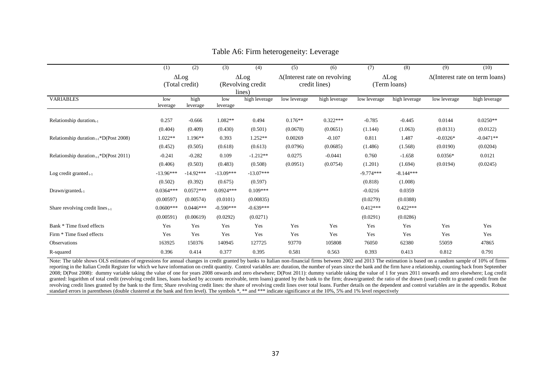|                                              | (1)             | (2)              | (3)             | (4)               | (5)                                  | (6)           | (7)          | (8)           | (9)                                    | (10)          |
|----------------------------------------------|-----------------|------------------|-----------------|-------------------|--------------------------------------|---------------|--------------|---------------|----------------------------------------|---------------|
|                                              |                 | $\Delta$ Log     | $\Delta$ Log    |                   | $\Delta$ (Interest rate on revolving |               | $\Delta$ Log |               | $\Delta$ (Interest rate on term loans) |               |
|                                              |                 | (Total credit)   |                 | (Revolving credit |                                      | credit lines) |              | (Term loans)  |                                        |               |
|                                              |                 |                  |                 | lines)            |                                      |               |              |               |                                        |               |
| <b>VARIABLES</b>                             | low<br>leverage | high<br>leverage | low<br>leverage | high leverage     | low leverage                         | high leverage | low leverage | high leverage | low leverage                           | high leverage |
| Relationship duration $_{t-1}$               | 0.257           | $-0.666$         | 1.082**         | 0.494             | $0.176**$                            | $0.322***$    | $-0.785$     | $-0.445$      | 0.0144                                 | $0.0250**$    |
|                                              | (0.404)         | (0.409)          | (0.430)         | (0.501)           | (0.0678)                             | (0.0651)      | (1.144)      | (1.063)       | (0.0131)                               | (0.0122)      |
| Relationship duration $_{t-1}$ *D(Post 2008) | 1.022**         | $1.196**$        | 0.393           | $1.252**$         | 0.00269                              | $-0.107$      | 0.811        | 1.487         | $-0.0326*$                             | $-0.0471**$   |
|                                              | (0.452)         | (0.505)          | (0.618)         | (0.613)           | (0.0796)                             | (0.0685)      | (1.486)      | (1.568)       | (0.0190)                               | (0.0204)      |
| Relationship duration $_{t-1}$ *D(Post 2011) | $-0.241$        | $-0.282$         | 0.109           | $-1.212**$        | 0.0275                               | $-0.0441$     | 0.760        | $-1.658$      | $0.0356*$                              | 0.0121        |
|                                              | (0.406)         | (0.503)          | (0.483)         | (0.508)           | (0.0951)                             | (0.0754)      | (1.201)      | (1.694)       | (0.0194)                               | (0.0245)      |
| Log credit granted $_{t-1}$                  | $-13.96***$     | $-14.92***$      | $-13.09***$     | $-13.07***$       |                                      |               | $-9.774***$  | $-8.144***$   |                                        |               |
|                                              | (0.502)         | (0.392)          | (0.675)         | (0.597)           |                                      |               | (0.818)      | (1.008)       |                                        |               |
| $Drawn/granted_{t-1}$                        | $0.0364***$     | $0.0572***$      | $0.0924***$     | $0.109***$        |                                      |               | $-0.0216$    | 0.0359        |                                        |               |
|                                              | (0.00597)       | (0.00574)        | (0.0101)        | (0.00835)         |                                      |               | (0.0279)     | (0.0388)      |                                        |               |
| Share revolving credit lines $_{t-1}$        | $0.0600***$     | $0.0446***$      | $-0.590***$     | $-0.639***$       |                                      |               | $0.412***$   | $0.422***$    |                                        |               |
|                                              | (0.00591)       | (0.00619)        | (0.0292)        | (0.0271)          |                                      |               | (0.0291)     | (0.0286)      |                                        |               |
| Bank * Time fixed effects                    | Yes             | Yes              | Yes             | Yes               | Yes                                  | Yes           | Yes          | Yes           | Yes                                    | Yes           |
| Firm * Time fixed effects                    | Yes             | Yes              | Yes             | Yes               | Yes                                  | Yes           | Yes          | Yes           | Yes                                    | Yes           |
| Observations                                 | 163925          | 150376           | 140945          | 127725            | 93770                                | 105808        | 76050        | 62380         | 55059                                  | 47865         |
| R-squared                                    | 0.396           | 0.414            | 0.377           | 0.395             | 0.581                                | 0.563         | 0.393        | 0.413         | 0.812                                  | 0.791         |

### Table A6: Firm heterogeneity: Leverage

Note: The table shows OLS estimates of regressions for annual changes in credit granted by banks to Italian non-financial firms between 2002 and 2013 The estimation is based on a random sample of 10% of firms reporting in the Italian Credit Register for which we have information on credit quantity. Control variables are: duration, the number of years since the bank and the firm have a relationship, counting back from September 2008; D(Post 2008): dummy variable taking the value of one for years 2008 onwards and zero elsewhere; D(Post 2011): dummy variable taking the value of 1 for years 2011 onwards and zero elsewhere; Log credit granted: logarithm of total credit (revolving credit lines, loans backed by accounts receivable, term loans) granted by the bank to the firm; drawn/granted: the ratio of the drawn (used) credit to granted credit from the revolving credit lines granted by the bank to the firm; Share revolving credit lines: the share of revolving credit lines over total loans. Further details on the dependent and control variables are in the appendix. Robust standard errors in parentheses (double clustered at the bank and firm level). The symbols \*, \*\* and \*\*\* indicate significance at the 10%, 5% and 1% level respectively